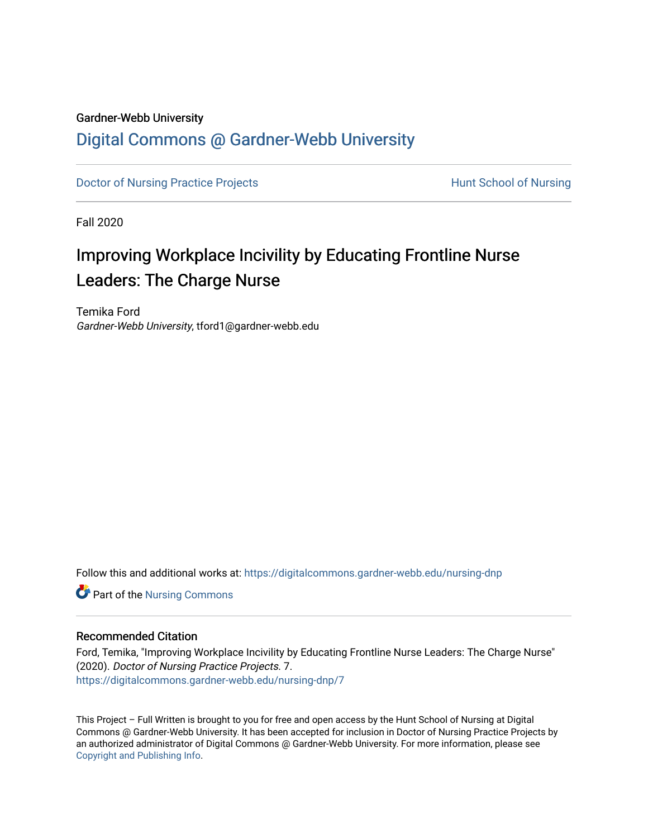## Gardner-Webb University

## [Digital Commons @ Gardner-Webb University](https://digitalcommons.gardner-webb.edu/)

[Doctor of Nursing Practice Projects](https://digitalcommons.gardner-webb.edu/nursing-dnp) **Exercise Exercise Serverse Hunt School of Nursing** 

Fall 2020

# Improving Workplace Incivility by Educating Frontline Nurse Leaders: The Charge Nurse

Temika Ford Gardner-Webb University, tford1@gardner-webb.edu

Follow this and additional works at: [https://digitalcommons.gardner-webb.edu/nursing-dnp](https://digitalcommons.gardner-webb.edu/nursing-dnp?utm_source=digitalcommons.gardner-webb.edu%2Fnursing-dnp%2F7&utm_medium=PDF&utm_campaign=PDFCoverPages) 

**Part of the Nursing Commons** 

## Recommended Citation

Ford, Temika, "Improving Workplace Incivility by Educating Frontline Nurse Leaders: The Charge Nurse" (2020). Doctor of Nursing Practice Projects. 7. [https://digitalcommons.gardner-webb.edu/nursing-dnp/7](https://digitalcommons.gardner-webb.edu/nursing-dnp/7?utm_source=digitalcommons.gardner-webb.edu%2Fnursing-dnp%2F7&utm_medium=PDF&utm_campaign=PDFCoverPages) 

This Project – Full Written is brought to you for free and open access by the Hunt School of Nursing at Digital Commons @ Gardner-Webb University. It has been accepted for inclusion in Doctor of Nursing Practice Projects by an authorized administrator of Digital Commons @ Gardner-Webb University. For more information, please see [Copyright and Publishing Info.](https://digitalcommons.gardner-webb.edu/copyright_publishing.html)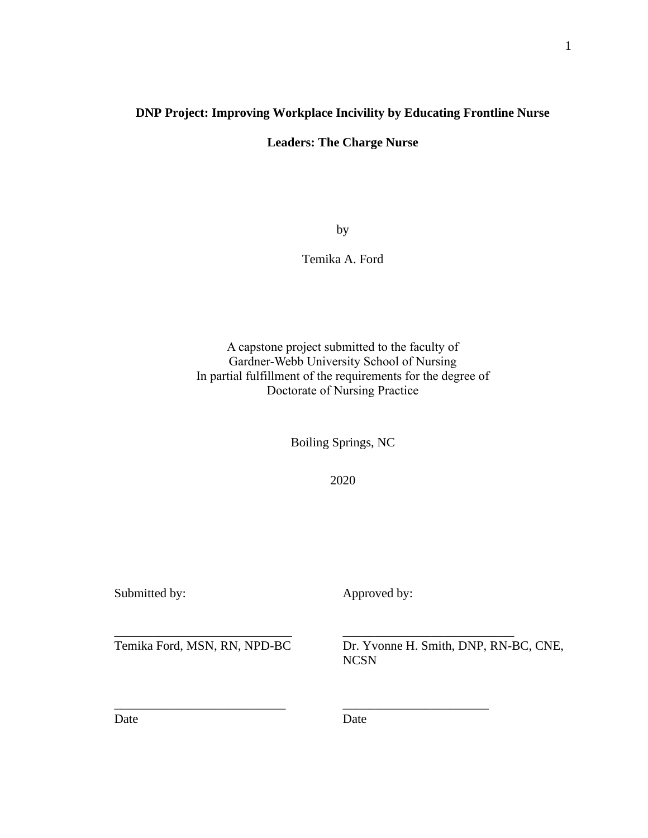## **DNP Project: Improving Workplace Incivility by Educating Frontline Nurse**

**Leaders: The Charge Nurse**

by

Temika A. Ford

A capstone project submitted to the faculty of Gardner-Webb University School of Nursing In partial fulfillment of the requirements for the degree of Doctorate of Nursing Practice

Boiling Springs, NC

2020

Submitted by: Approved by:

Temika Ford, MSN, RN, NPD-BC Dr. Yvonne H. Smith, DNP, RN-BC, CNE, NCSN

Date Date Date

\_\_\_\_\_\_\_\_\_\_\_\_\_\_\_\_\_\_\_\_\_\_\_\_\_\_\_\_ \_\_\_\_\_\_\_\_\_\_\_\_\_\_\_\_\_\_\_\_\_\_\_\_\_\_\_

\_\_\_\_\_\_\_\_\_\_\_\_\_\_\_\_\_\_\_\_\_\_\_\_\_\_\_ \_\_\_\_\_\_\_\_\_\_\_\_\_\_\_\_\_\_\_\_\_\_\_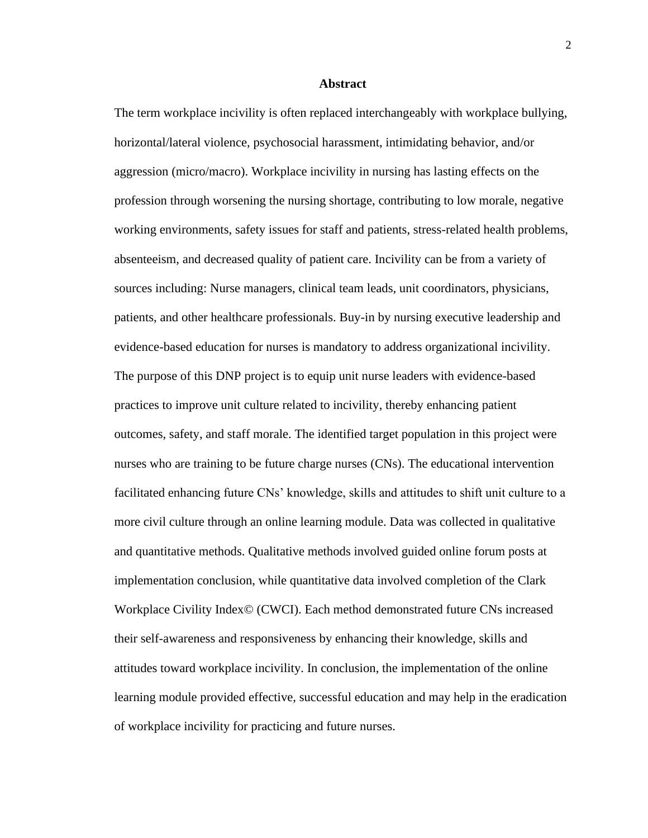#### **Abstract**

The term workplace incivility is often replaced interchangeably with workplace bullying, horizontal/lateral violence, psychosocial harassment, intimidating behavior, and/or aggression (micro/macro). Workplace incivility in nursing has lasting effects on the profession through worsening the nursing shortage, contributing to low morale, negative working environments, safety issues for staff and patients, stress-related health problems, absenteeism, and decreased quality of patient care. Incivility can be from a variety of sources including: Nurse managers, clinical team leads, unit coordinators, physicians, patients, and other healthcare professionals. Buy-in by nursing executive leadership and evidence-based education for nurses is mandatory to address organizational incivility. The purpose of this DNP project is to equip unit nurse leaders with evidence-based practices to improve unit culture related to incivility, thereby enhancing patient outcomes, safety, and staff morale. The identified target population in this project were nurses who are training to be future charge nurses (CNs). The educational intervention facilitated enhancing future CNs' knowledge, skills and attitudes to shift unit culture to a more civil culture through an online learning module. Data was collected in qualitative and quantitative methods. Qualitative methods involved guided online forum posts at implementation conclusion, while quantitative data involved completion of the Clark Workplace Civility Index© (CWCI). Each method demonstrated future CNs increased their self-awareness and responsiveness by enhancing their knowledge, skills and attitudes toward workplace incivility. In conclusion, the implementation of the online learning module provided effective, successful education and may help in the eradication of workplace incivility for practicing and future nurses.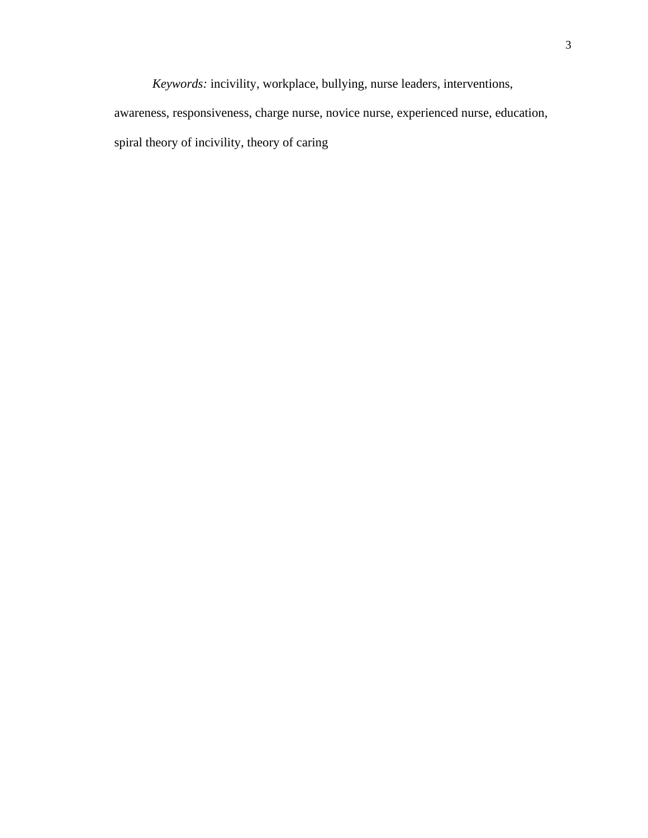*Keywords:* incivility, workplace, bullying, nurse leaders, interventions, awareness, responsiveness, charge nurse, novice nurse, experienced nurse, education, spiral theory of incivility, theory of caring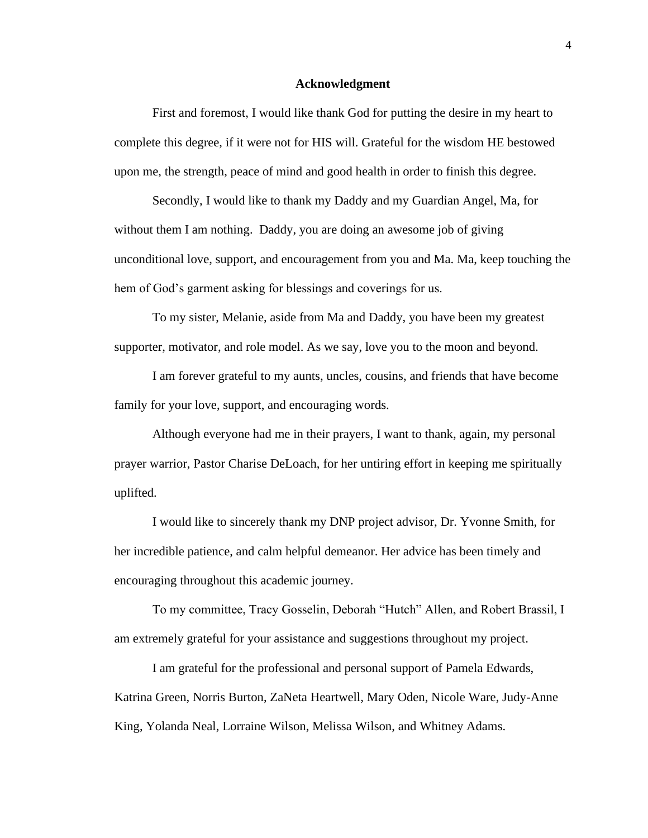#### **Acknowledgment**

First and foremost, I would like thank God for putting the desire in my heart to complete this degree, if it were not for HIS will. Grateful for the wisdom HE bestowed upon me, the strength, peace of mind and good health in order to finish this degree.

Secondly, I would like to thank my Daddy and my Guardian Angel, Ma, for without them I am nothing. Daddy, you are doing an awesome job of giving unconditional love, support, and encouragement from you and Ma. Ma, keep touching the hem of God's garment asking for blessings and coverings for us.

To my sister, Melanie, aside from Ma and Daddy, you have been my greatest supporter, motivator, and role model. As we say, love you to the moon and beyond.

I am forever grateful to my aunts, uncles, cousins, and friends that have become family for your love, support, and encouraging words.

Although everyone had me in their prayers, I want to thank, again, my personal prayer warrior, Pastor Charise DeLoach, for her untiring effort in keeping me spiritually uplifted.

I would like to sincerely thank my DNP project advisor, Dr. Yvonne Smith, for her incredible patience, and calm helpful demeanor. Her advice has been timely and encouraging throughout this academic journey.

To my committee, Tracy Gosselin, Deborah "Hutch" Allen, and Robert Brassil, I am extremely grateful for your assistance and suggestions throughout my project.

I am grateful for the professional and personal support of Pamela Edwards, Katrina Green, Norris Burton, ZaNeta Heartwell, Mary Oden, Nicole Ware, Judy-Anne King, Yolanda Neal, Lorraine Wilson, Melissa Wilson, and Whitney Adams.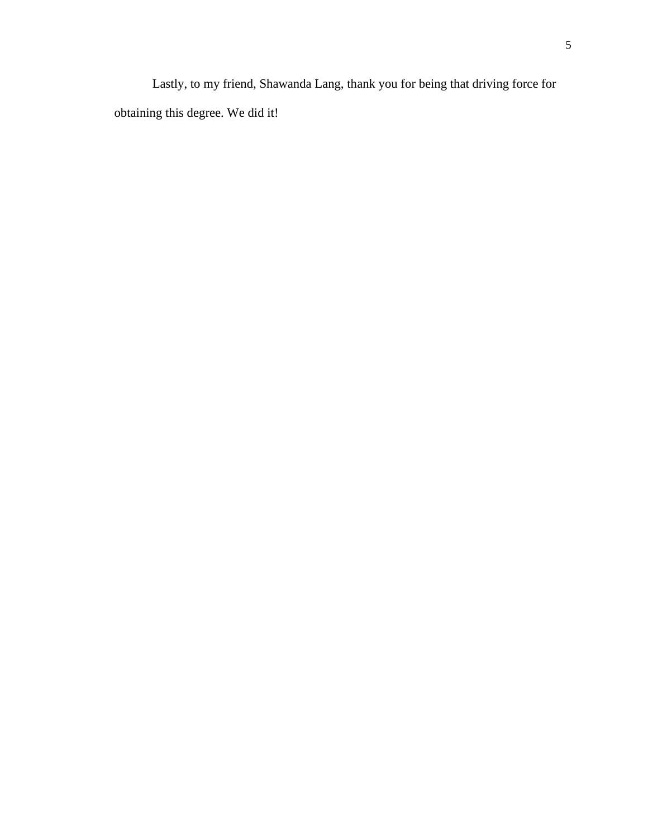Lastly, to my friend, Shawanda Lang, thank you for being that driving force for obtaining this degree. We did it!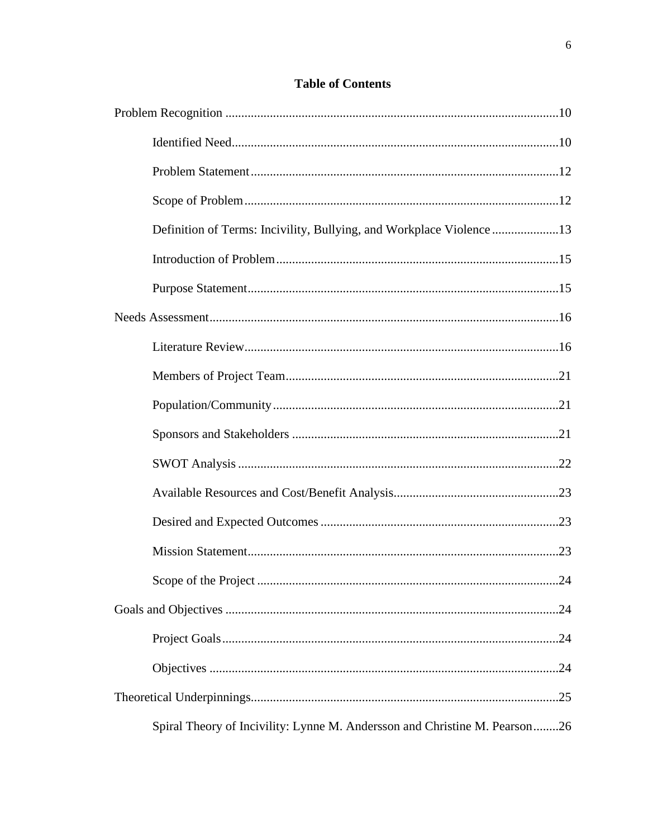| Definition of Terms: Incivility, Bullying, and Workplace Violence13        |  |
|----------------------------------------------------------------------------|--|
|                                                                            |  |
|                                                                            |  |
|                                                                            |  |
|                                                                            |  |
|                                                                            |  |
|                                                                            |  |
|                                                                            |  |
|                                                                            |  |
|                                                                            |  |
|                                                                            |  |
|                                                                            |  |
|                                                                            |  |
|                                                                            |  |
|                                                                            |  |
|                                                                            |  |
|                                                                            |  |
| Spiral Theory of Incivility: Lynne M. Andersson and Christine M. Pearson26 |  |

## **Table of Contents**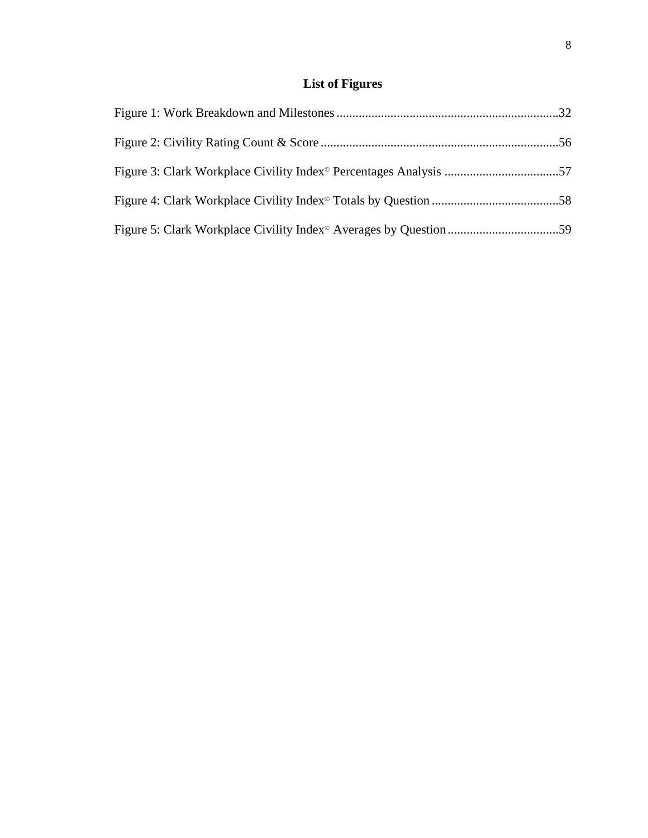## **List of Figures**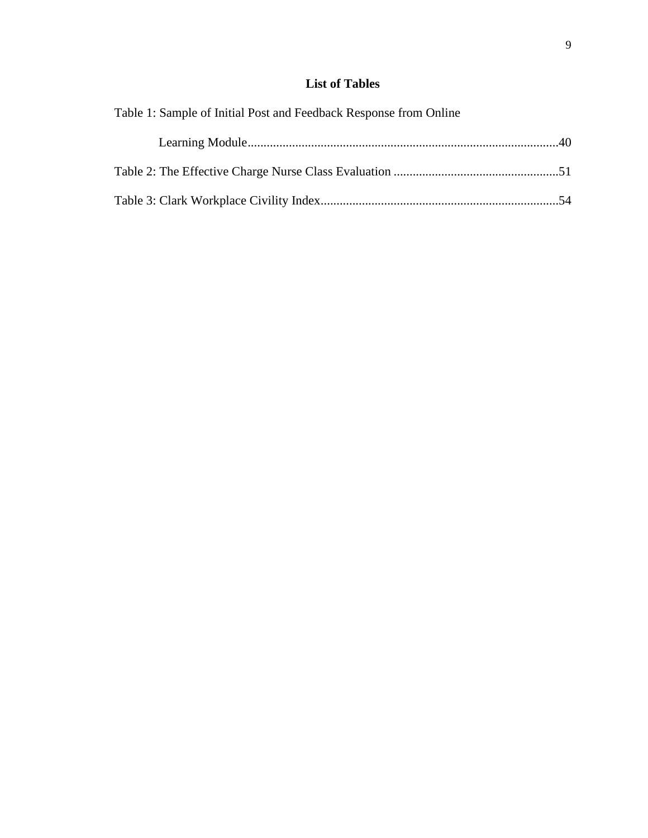## **List of Tables**

| Table 1: Sample of Initial Post and Feedback Response from Online |  |
|-------------------------------------------------------------------|--|
|                                                                   |  |
|                                                                   |  |
|                                                                   |  |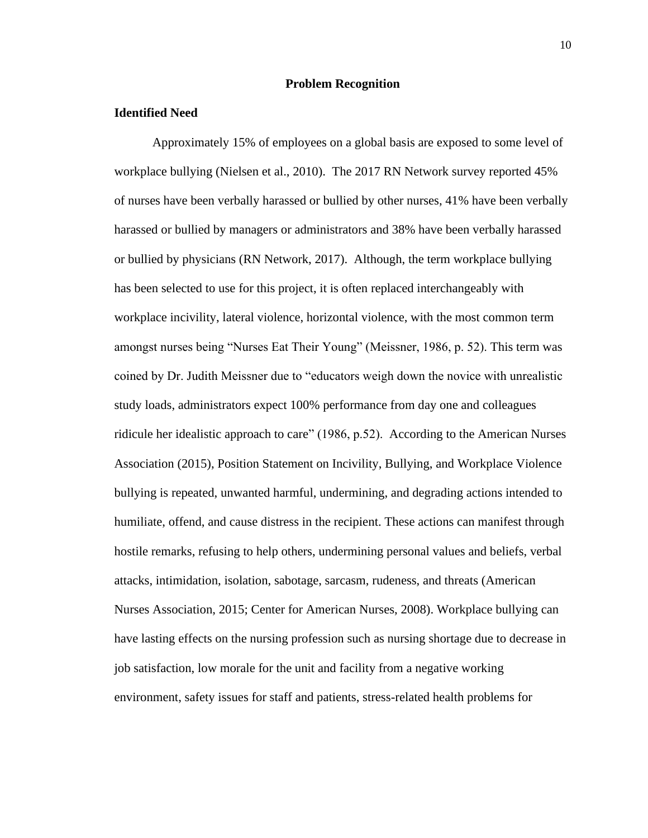### **Problem Recognition**

### **Identified Need**

Approximately 15% of employees on a global basis are exposed to some level of workplace bullying (Nielsen et al., 2010). The 2017 RN Network survey reported 45% of nurses have been verbally harassed or bullied by other nurses, 41% have been verbally harassed or bullied by managers or administrators and 38% have been verbally harassed or bullied by physicians (RN Network, 2017). Although, the term workplace bullying has been selected to use for this project, it is often replaced interchangeably with workplace incivility, lateral violence, horizontal violence, with the most common term amongst nurses being "Nurses Eat Their Young" (Meissner, 1986, p. 52). This term was coined by Dr. Judith Meissner due to "educators weigh down the novice with unrealistic study loads, administrators expect 100% performance from day one and colleagues ridicule her idealistic approach to care" (1986, p.52). According to the American Nurses Association (2015), Position Statement on Incivility, Bullying, and Workplace Violence bullying is repeated, unwanted harmful, undermining, and degrading actions intended to humiliate, offend, and cause distress in the recipient. These actions can manifest through hostile remarks, refusing to help others, undermining personal values and beliefs, verbal attacks, intimidation, isolation, sabotage, sarcasm, rudeness, and threats (American Nurses Association, 2015; Center for American Nurses, 2008). Workplace bullying can have lasting effects on the nursing profession such as nursing shortage due to decrease in job satisfaction, low morale for the unit and facility from a negative working environment, safety issues for staff and patients, stress-related health problems for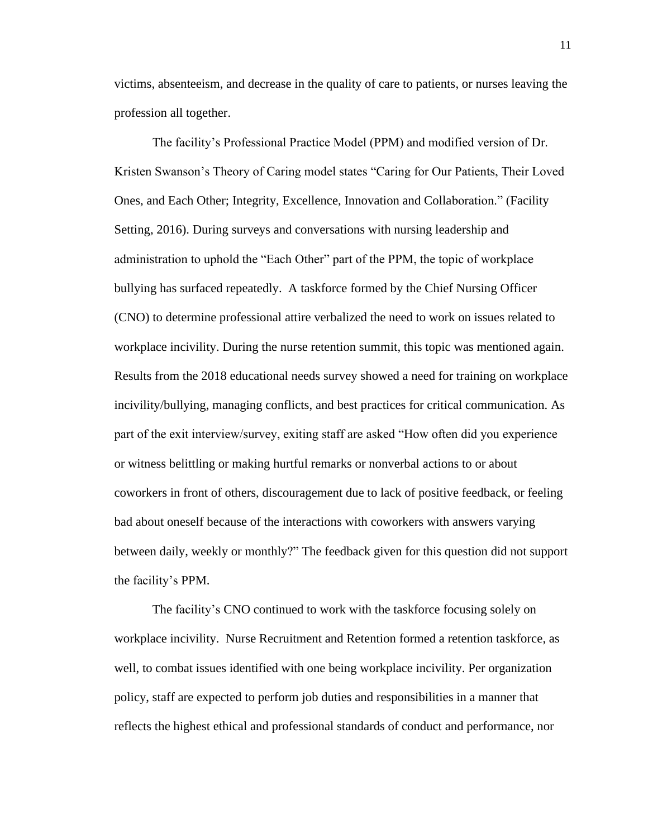victims, absenteeism, and decrease in the quality of care to patients, or nurses leaving the profession all together.

The facility's Professional Practice Model (PPM) and modified version of Dr. Kristen Swanson's Theory of Caring model states "Caring for Our Patients, Their Loved Ones, and Each Other; Integrity, Excellence, Innovation and Collaboration." (Facility Setting, 2016). During surveys and conversations with nursing leadership and administration to uphold the "Each Other" part of the PPM, the topic of workplace bullying has surfaced repeatedly. A taskforce formed by the Chief Nursing Officer (CNO) to determine professional attire verbalized the need to work on issues related to workplace incivility. During the nurse retention summit, this topic was mentioned again. Results from the 2018 educational needs survey showed a need for training on workplace incivility/bullying, managing conflicts, and best practices for critical communication. As part of the exit interview/survey, exiting staff are asked "How often did you experience or witness belittling or making hurtful remarks or nonverbal actions to or about coworkers in front of others, discouragement due to lack of positive feedback, or feeling bad about oneself because of the interactions with coworkers with answers varying between daily, weekly or monthly?" The feedback given for this question did not support the facility's PPM.

The facility's CNO continued to work with the taskforce focusing solely on workplace incivility. Nurse Recruitment and Retention formed a retention taskforce, as well, to combat issues identified with one being workplace incivility. Per organization policy, staff are expected to perform job duties and responsibilities in a manner that reflects the highest ethical and professional standards of conduct and performance, nor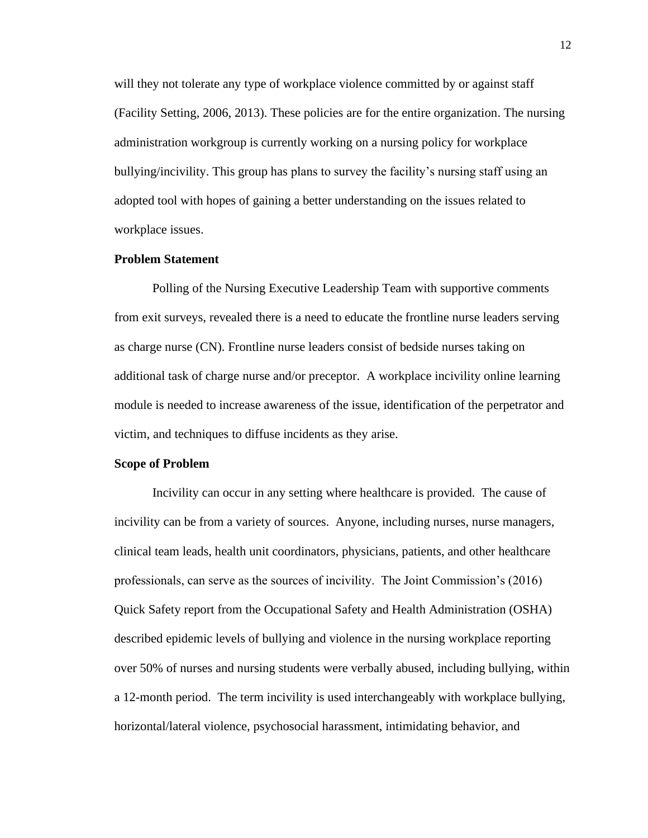will they not tolerate any type of workplace violence committed by or against staff (Facility Setting, 2006, 2013). These policies are for the entire organization. The nursing administration workgroup is currently working on a nursing policy for workplace bullying/incivility. This group has plans to survey the facility's nursing staff using an adopted tool with hopes of gaining a better understanding on the issues related to workplace issues.

#### **Problem Statement**

Polling of the Nursing Executive Leadership Team with supportive comments from exit surveys, revealed there is a need to educate the frontline nurse leaders serving as charge nurse (CN). Frontline nurse leaders consist of bedside nurses taking on additional task of charge nurse and/or preceptor. A workplace incivility online learning module is needed to increase awareness of the issue, identification of the perpetrator and victim, and techniques to diffuse incidents as they arise.

#### **Scope of Problem**

Incivility can occur in any setting where healthcare is provided. The cause of incivility can be from a variety of sources. Anyone, including nurses, nurse managers, clinical team leads, health unit coordinators, physicians, patients, and other healthcare professionals, can serve as the sources of incivility. The Joint Commission's (2016) Quick Safety report from the Occupational Safety and Health Administration (OSHA) described epidemic levels of bullying and violence in the nursing workplace reporting over 50% of nurses and nursing students were verbally abused, including bullying, within a 12-month period. The term incivility is used interchangeably with workplace bullying, horizontal/lateral violence, psychosocial harassment, intimidating behavior, and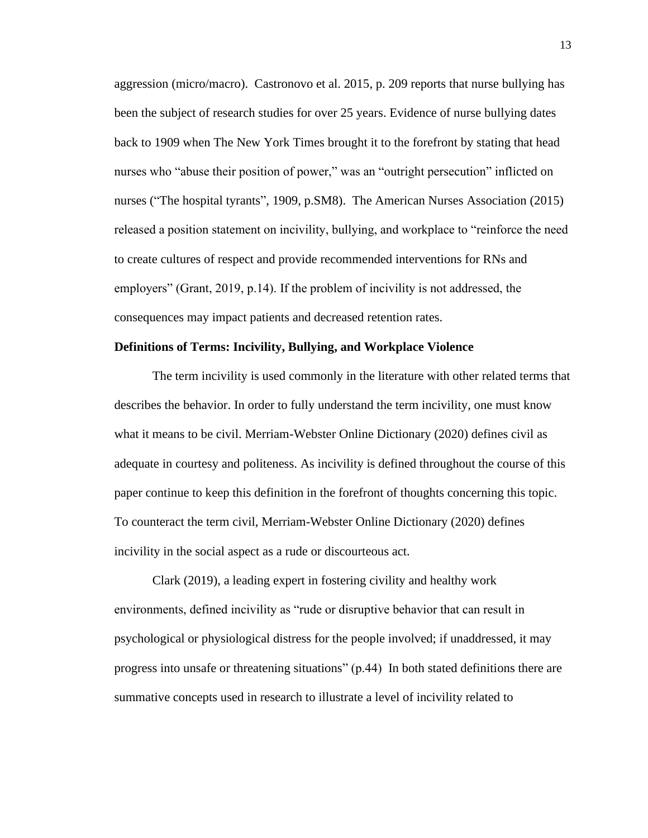aggression (micro/macro). Castronovo et al. 2015, p. 209 reports that nurse bullying has been the subject of research studies for over 25 years. Evidence of nurse bullying dates back to 1909 when The New York Times brought it to the forefront by stating that head nurses who "abuse their position of power," was an "outright persecution" inflicted on nurses ("The hospital tyrants", 1909, p.SM8). The American Nurses Association (2015) released a position statement on incivility, bullying, and workplace to "reinforce the need to create cultures of respect and provide recommended interventions for RNs and employers" (Grant, 2019, p.14). If the problem of incivility is not addressed, the consequences may impact patients and decreased retention rates.

#### **Definitions of Terms: Incivility, Bullying, and Workplace Violence**

The term incivility is used commonly in the literature with other related terms that describes the behavior. In order to fully understand the term incivility, one must know what it means to be civil. Merriam-Webster Online Dictionary (2020) defines civil as adequate in courtesy and politeness. As incivility is defined throughout the course of this paper continue to keep this definition in the forefront of thoughts concerning this topic. To counteract the term civil, Merriam-Webster Online Dictionary (2020) defines incivility in the social aspect as a rude or discourteous act.

Clark (2019), a leading expert in fostering civility and healthy work environments, defined incivility as "rude or disruptive behavior that can result in psychological or physiological distress for the people involved; if unaddressed, it may progress into unsafe or threatening situations" (p.44) In both stated definitions there are summative concepts used in research to illustrate a level of incivility related to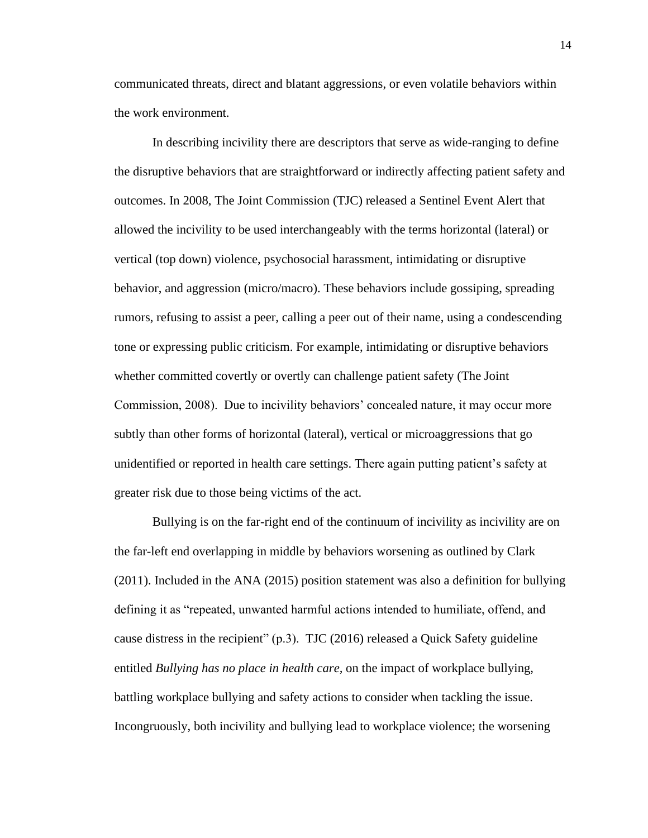communicated threats, direct and blatant aggressions, or even volatile behaviors within the work environment.

In describing incivility there are descriptors that serve as wide-ranging to define the disruptive behaviors that are straightforward or indirectly affecting patient safety and outcomes. In 2008, The Joint Commission (TJC) released a Sentinel Event Alert that allowed the incivility to be used interchangeably with the terms horizontal (lateral) or vertical (top down) violence, psychosocial harassment, intimidating or disruptive behavior, and aggression (micro/macro). These behaviors include gossiping, spreading rumors, refusing to assist a peer, calling a peer out of their name, using a condescending tone or expressing public criticism. For example, intimidating or disruptive behaviors whether committed covertly or overtly can challenge patient safety (The Joint Commission, 2008). Due to incivility behaviors' concealed nature, it may occur more subtly than other forms of horizontal (lateral), vertical or microaggressions that go unidentified or reported in health care settings. There again putting patient's safety at greater risk due to those being victims of the act.

Bullying is on the far-right end of the continuum of incivility as incivility are on the far-left end overlapping in middle by behaviors worsening as outlined by Clark (2011). Included in the ANA (2015) position statement was also a definition for bullying defining it as "repeated, unwanted harmful actions intended to humiliate, offend, and cause distress in the recipient"  $(p.3)$ . TJC (2016) released a Quick Safety guideline entitled *Bullying has no place in health care,* on the impact of workplace bullying, battling workplace bullying and safety actions to consider when tackling the issue. Incongruously, both incivility and bullying lead to workplace violence; the worsening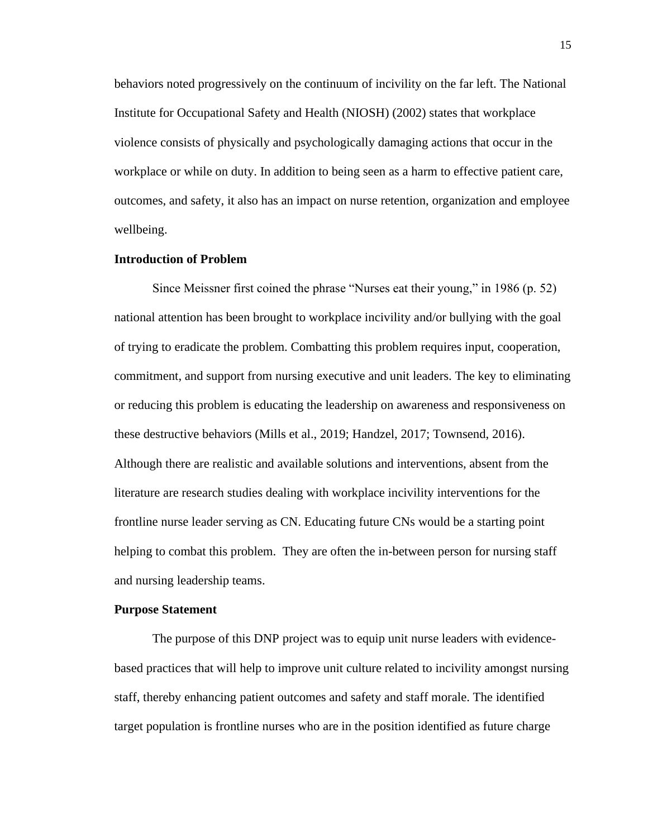behaviors noted progressively on the continuum of incivility on the far left. The National Institute for Occupational Safety and Health (NIOSH) (2002) states that workplace violence consists of physically and psychologically damaging actions that occur in the workplace or while on duty. In addition to being seen as a harm to effective patient care, outcomes, and safety, it also has an impact on nurse retention, organization and employee wellbeing.

### **Introduction of Problem**

Since Meissner first coined the phrase "Nurses eat their young," in 1986 (p. 52) national attention has been brought to workplace incivility and/or bullying with the goal of trying to eradicate the problem. Combatting this problem requires input, cooperation, commitment, and support from nursing executive and unit leaders. The key to eliminating or reducing this problem is educating the leadership on awareness and responsiveness on these destructive behaviors (Mills et al., 2019; Handzel, 2017; Townsend, 2016). Although there are realistic and available solutions and interventions, absent from the literature are research studies dealing with workplace incivility interventions for the frontline nurse leader serving as CN. Educating future CNs would be a starting point helping to combat this problem. They are often the in-between person for nursing staff and nursing leadership teams.

#### **Purpose Statement**

The purpose of this DNP project was to equip unit nurse leaders with evidencebased practices that will help to improve unit culture related to incivility amongst nursing staff, thereby enhancing patient outcomes and safety and staff morale. The identified target population is frontline nurses who are in the position identified as future charge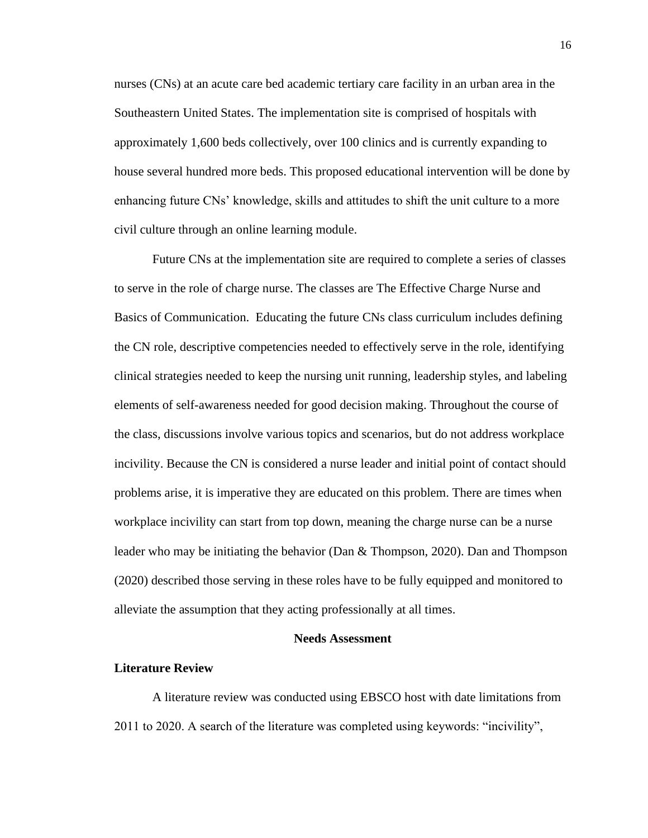nurses (CNs) at an acute care bed academic tertiary care facility in an urban area in the Southeastern United States. The implementation site is comprised of hospitals with approximately 1,600 beds collectively, over 100 clinics and is currently expanding to house several hundred more beds. This proposed educational intervention will be done by enhancing future CNs' knowledge, skills and attitudes to shift the unit culture to a more civil culture through an online learning module.

Future CNs at the implementation site are required to complete a series of classes to serve in the role of charge nurse. The classes are The Effective Charge Nurse and Basics of Communication. Educating the future CNs class curriculum includes defining the CN role, descriptive competencies needed to effectively serve in the role, identifying clinical strategies needed to keep the nursing unit running, leadership styles, and labeling elements of self-awareness needed for good decision making. Throughout the course of the class, discussions involve various topics and scenarios, but do not address workplace incivility. Because the CN is considered a nurse leader and initial point of contact should problems arise, it is imperative they are educated on this problem. There are times when workplace incivility can start from top down, meaning the charge nurse can be a nurse leader who may be initiating the behavior (Dan & Thompson, 2020). Dan and Thompson (2020) described those serving in these roles have to be fully equipped and monitored to alleviate the assumption that they acting professionally at all times.

#### **Needs Assessment**

#### **Literature Review**

A literature review was conducted using EBSCO host with date limitations from 2011 to 2020. A search of the literature was completed using keywords: "incivility",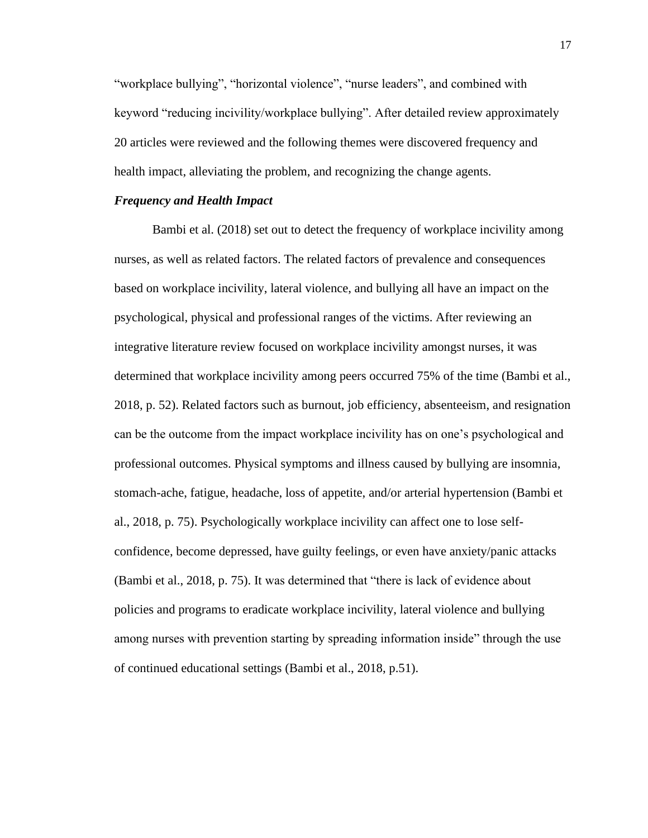"workplace bullying", "horizontal violence", "nurse leaders", and combined with keyword "reducing incivility/workplace bullying". After detailed review approximately 20 articles were reviewed and the following themes were discovered frequency and health impact, alleviating the problem, and recognizing the change agents.

#### *Frequency and Health Impact*

Bambi et al. (2018) set out to detect the frequency of workplace incivility among nurses, as well as related factors. The related factors of prevalence and consequences based on workplace incivility, lateral violence, and bullying all have an impact on the psychological, physical and professional ranges of the victims. After reviewing an integrative literature review focused on workplace incivility amongst nurses, it was determined that workplace incivility among peers occurred 75% of the time (Bambi et al., 2018, p. 52). Related factors such as burnout, job efficiency, absenteeism, and resignation can be the outcome from the impact workplace incivility has on one's psychological and professional outcomes. Physical symptoms and illness caused by bullying are insomnia, stomach-ache, fatigue, headache, loss of appetite, and/or arterial hypertension (Bambi et al., 2018, p. 75). Psychologically workplace incivility can affect one to lose selfconfidence, become depressed, have guilty feelings, or even have anxiety/panic attacks (Bambi et al., 2018, p. 75). It was determined that "there is lack of evidence about policies and programs to eradicate workplace incivility, lateral violence and bullying among nurses with prevention starting by spreading information inside" through the use of continued educational settings (Bambi et al., 2018, p.51).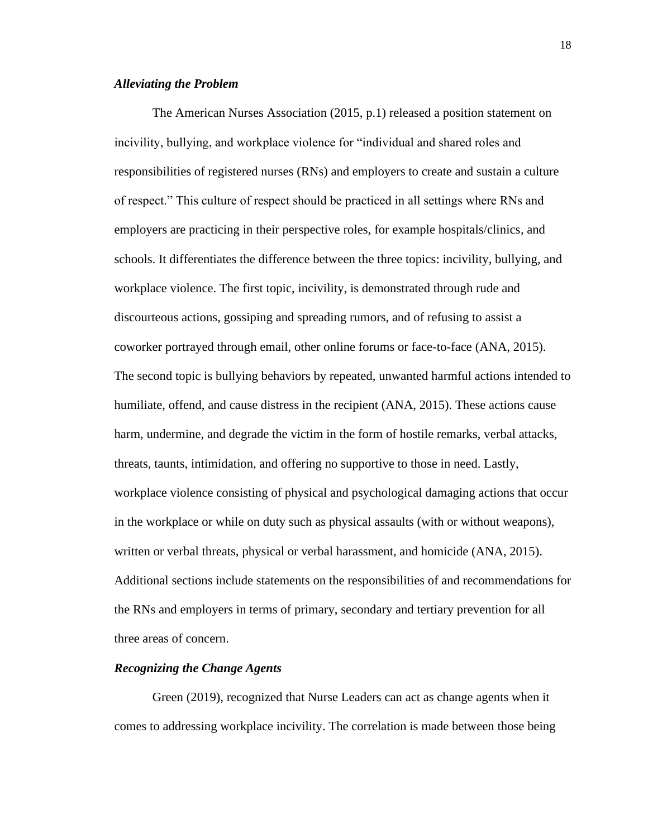#### *Alleviating the Problem*

The American Nurses Association (2015, p.1) released a position statement on incivility, bullying, and workplace violence for "individual and shared roles and responsibilities of registered nurses (RNs) and employers to create and sustain a culture of respect." This culture of respect should be practiced in all settings where RNs and employers are practicing in their perspective roles, for example hospitals/clinics, and schools. It differentiates the difference between the three topics: incivility, bullying, and workplace violence. The first topic, incivility, is demonstrated through rude and discourteous actions, gossiping and spreading rumors, and of refusing to assist a coworker portrayed through email, other online forums or face-to-face (ANA, 2015). The second topic is bullying behaviors by repeated, unwanted harmful actions intended to humiliate, offend, and cause distress in the recipient (ANA, 2015). These actions cause harm, undermine, and degrade the victim in the form of hostile remarks, verbal attacks, threats, taunts, intimidation, and offering no supportive to those in need. Lastly, workplace violence consisting of physical and psychological damaging actions that occur in the workplace or while on duty such as physical assaults (with or without weapons), written or verbal threats, physical or verbal harassment, and homicide (ANA, 2015). Additional sections include statements on the responsibilities of and recommendations for the RNs and employers in terms of primary, secondary and tertiary prevention for all three areas of concern.

#### *Recognizing the Change Agents*

Green (2019), recognized that Nurse Leaders can act as change agents when it comes to addressing workplace incivility. The correlation is made between those being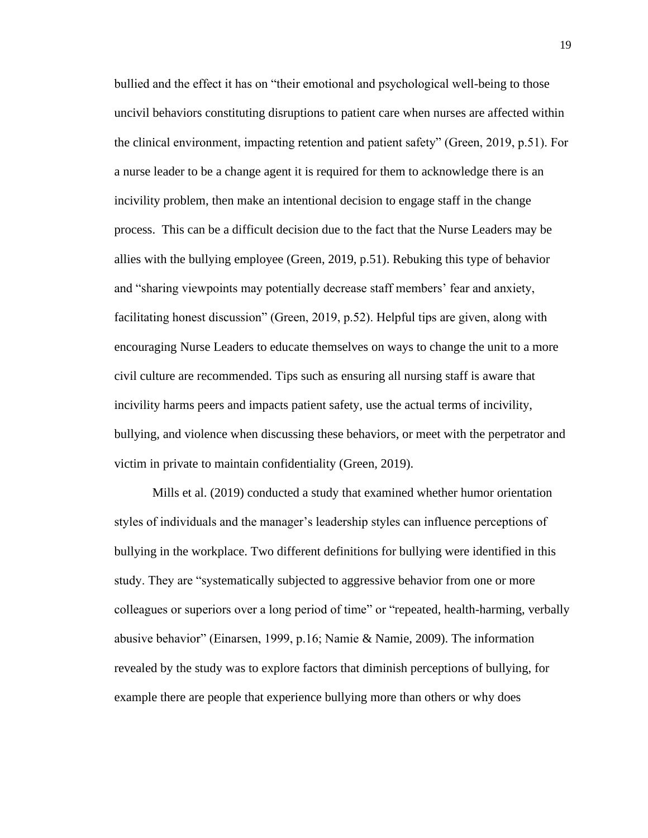bullied and the effect it has on "their emotional and psychological well-being to those uncivil behaviors constituting disruptions to patient care when nurses are affected within the clinical environment, impacting retention and patient safety" (Green, 2019, p.51). For a nurse leader to be a change agent it is required for them to acknowledge there is an incivility problem, then make an intentional decision to engage staff in the change process. This can be a difficult decision due to the fact that the Nurse Leaders may be allies with the bullying employee (Green, 2019, p.51). Rebuking this type of behavior and "sharing viewpoints may potentially decrease staff members' fear and anxiety, facilitating honest discussion" (Green, 2019, p.52). Helpful tips are given, along with encouraging Nurse Leaders to educate themselves on ways to change the unit to a more civil culture are recommended. Tips such as ensuring all nursing staff is aware that incivility harms peers and impacts patient safety, use the actual terms of incivility, bullying, and violence when discussing these behaviors, or meet with the perpetrator and victim in private to maintain confidentiality (Green, 2019).

Mills et al. (2019) conducted a study that examined whether humor orientation styles of individuals and the manager's leadership styles can influence perceptions of bullying in the workplace. Two different definitions for bullying were identified in this study. They are "systematically subjected to aggressive behavior from one or more colleagues or superiors over a long period of time" or "repeated, health-harming, verbally abusive behavior" (Einarsen, 1999, p.16; Namie & Namie, 2009). The information revealed by the study was to explore factors that diminish perceptions of bullying, for example there are people that experience bullying more than others or why does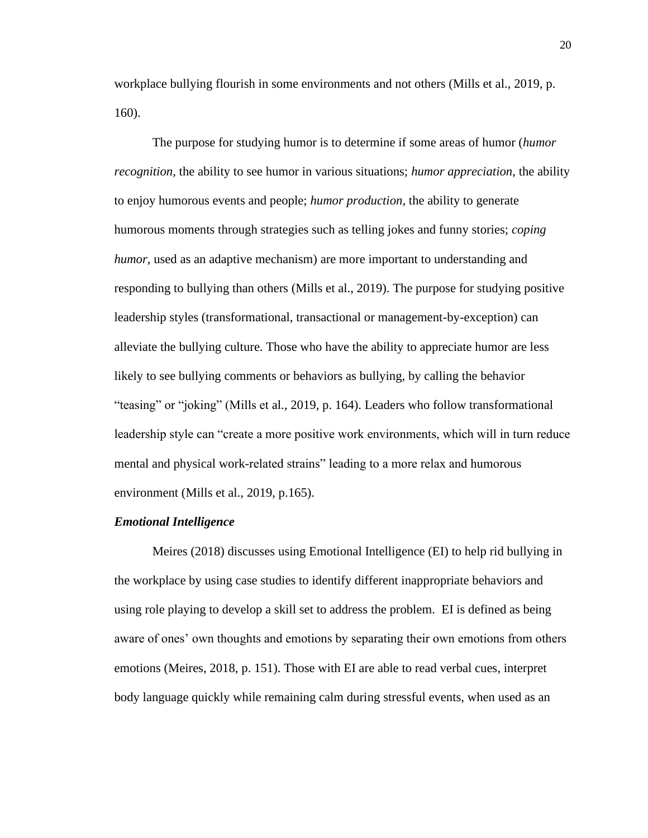workplace bullying flourish in some environments and not others (Mills et al., 2019, p. 160).

The purpose for studying humor is to determine if some areas of humor (*humor recognition*, the ability to see humor in various situations; *humor appreciation*, the ability to enjoy humorous events and people; *humor production*, the ability to generate humorous moments through strategies such as telling jokes and funny stories; *coping humor*, used as an adaptive mechanism) are more important to understanding and responding to bullying than others (Mills et al., 2019). The purpose for studying positive leadership styles (transformational, transactional or management-by-exception) can alleviate the bullying culture. Those who have the ability to appreciate humor are less likely to see bullying comments or behaviors as bullying, by calling the behavior "teasing" or "joking" (Mills et al., 2019, p. 164). Leaders who follow transformational leadership style can "create a more positive work environments, which will in turn reduce mental and physical work-related strains" leading to a more relax and humorous environment (Mills et al., 2019, p.165).

#### *Emotional Intelligence*

Meires (2018) discusses using Emotional Intelligence (EI) to help rid bullying in the workplace by using case studies to identify different inappropriate behaviors and using role playing to develop a skill set to address the problem. EI is defined as being aware of ones' own thoughts and emotions by separating their own emotions from others emotions (Meires, 2018, p. 151). Those with EI are able to read verbal cues, interpret body language quickly while remaining calm during stressful events, when used as an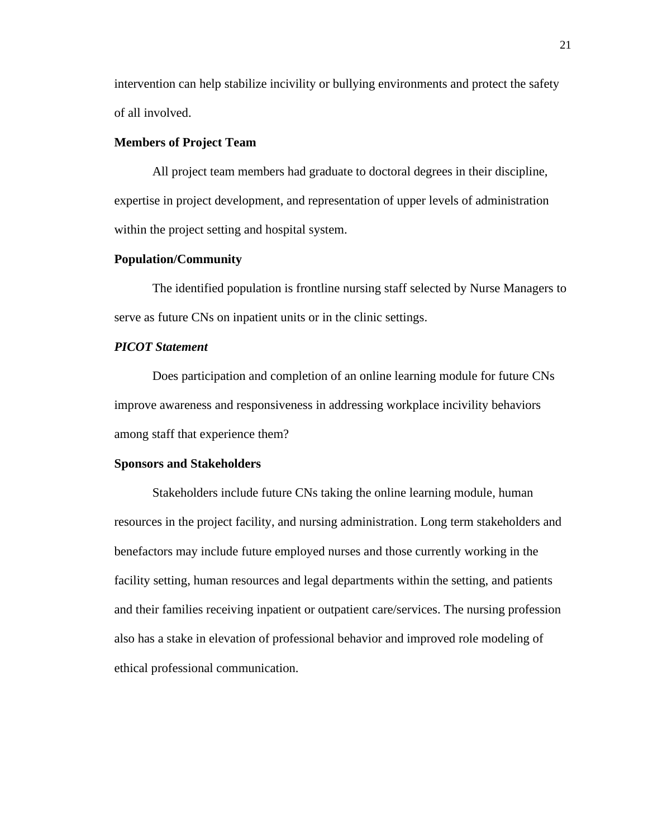intervention can help stabilize incivility or bullying environments and protect the safety of all involved.

## **Members of Project Team**

All project team members had graduate to doctoral degrees in their discipline, expertise in project development, and representation of upper levels of administration within the project setting and hospital system.

## **Population/Community**

The identified population is frontline nursing staff selected by Nurse Managers to serve as future CNs on inpatient units or in the clinic settings.

## *PICOT Statement*

Does participation and completion of an online learning module for future CNs improve awareness and responsiveness in addressing workplace incivility behaviors among staff that experience them?

#### **Sponsors and Stakeholders**

Stakeholders include future CNs taking the online learning module, human resources in the project facility, and nursing administration. Long term stakeholders and benefactors may include future employed nurses and those currently working in the facility setting, human resources and legal departments within the setting, and patients and their families receiving inpatient or outpatient care/services. The nursing profession also has a stake in elevation of professional behavior and improved role modeling of ethical professional communication.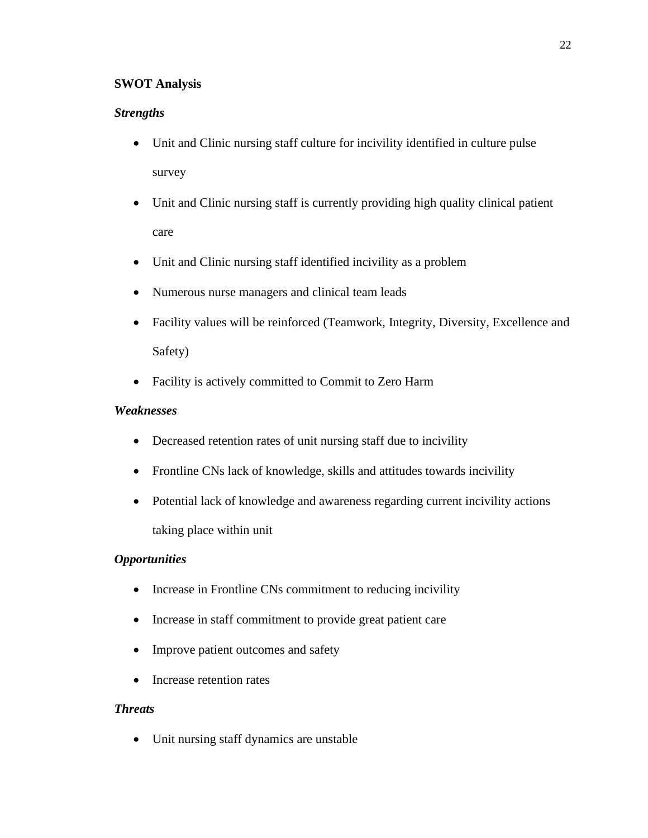## **SWOT Analysis**

## *Strengths*

- Unit and Clinic nursing staff culture for incivility identified in culture pulse survey
- Unit and Clinic nursing staff is currently providing high quality clinical patient care
- Unit and Clinic nursing staff identified incivility as a problem
- Numerous nurse managers and clinical team leads
- Facility values will be reinforced (Teamwork, Integrity, Diversity, Excellence and Safety)
- Facility is actively committed to Commit to Zero Harm

## *Weaknesses*

- Decreased retention rates of unit nursing staff due to incivility
- Frontline CNs lack of knowledge, skills and attitudes towards incivility
- Potential lack of knowledge and awareness regarding current incivility actions taking place within unit

## *Opportunities*

- Increase in Frontline CNs commitment to reducing incivility
- Increase in staff commitment to provide great patient care
- Improve patient outcomes and safety
- Increase retention rates

## *Threats*

• Unit nursing staff dynamics are unstable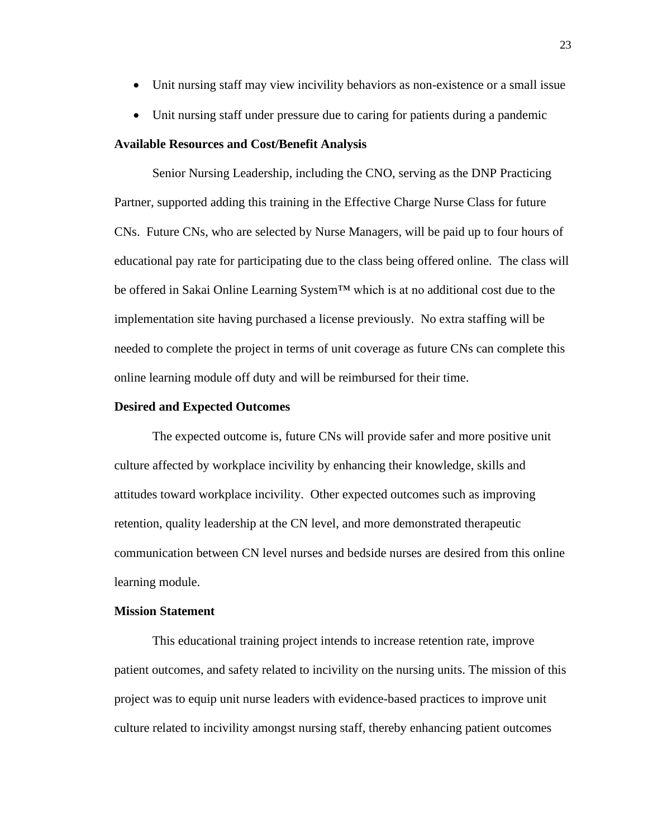- Unit nursing staff may view incivility behaviors as non-existence or a small issue
- Unit nursing staff under pressure due to caring for patients during a pandemic

#### **Available Resources and Cost/Benefit Analysis**

Senior Nursing Leadership, including the CNO, serving as the DNP Practicing Partner, supported adding this training in the Effective Charge Nurse Class for future CNs. Future CNs, who are selected by Nurse Managers, will be paid up to four hours of educational pay rate for participating due to the class being offered online. The class will be offered in Sakai Online Learning System™ which is at no additional cost due to the implementation site having purchased a license previously. No extra staffing will be needed to complete the project in terms of unit coverage as future CNs can complete this online learning module off duty and will be reimbursed for their time.

## **Desired and Expected Outcomes**

The expected outcome is, future CNs will provide safer and more positive unit culture affected by workplace incivility by enhancing their knowledge, skills and attitudes toward workplace incivility. Other expected outcomes such as improving retention, quality leadership at the CN level, and more demonstrated therapeutic communication between CN level nurses and bedside nurses are desired from this online learning module.

## **Mission Statement**

This educational training project intends to increase retention rate, improve patient outcomes, and safety related to incivility on the nursing units. The mission of this project was to equip unit nurse leaders with evidence-based practices to improve unit culture related to incivility amongst nursing staff, thereby enhancing patient outcomes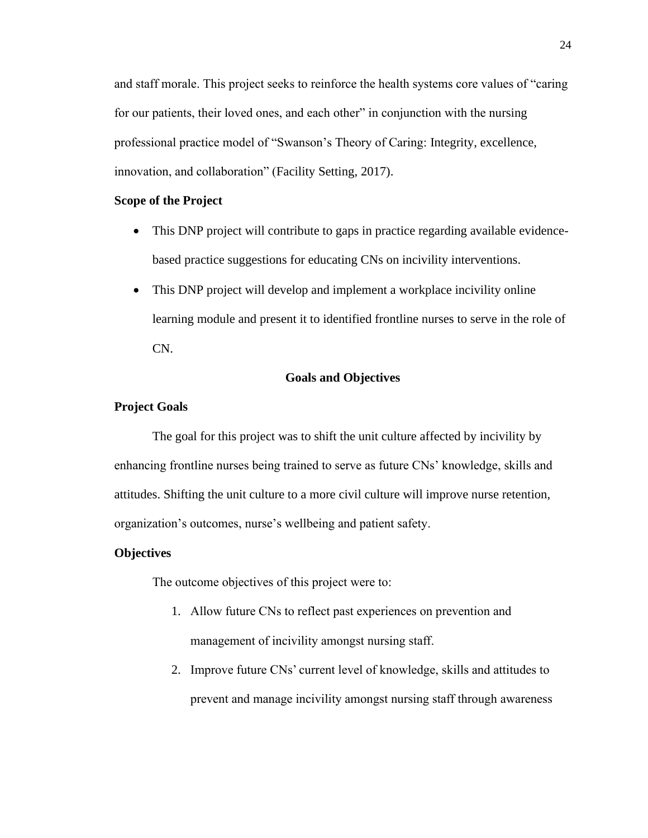and staff morale. This project seeks to reinforce the health systems core values of "caring for our patients, their loved ones, and each other" in conjunction with the nursing professional practice model of "Swanson's Theory of Caring: Integrity, excellence, innovation, and collaboration" (Facility Setting, 2017).

## **Scope of the Project**

- This DNP project will contribute to gaps in practice regarding available evidencebased practice suggestions for educating CNs on incivility interventions.
- This DNP project will develop and implement a workplace incivility online learning module and present it to identified frontline nurses to serve in the role of CN.

### **Goals and Objectives**

#### **Project Goals**

The goal for this project was to shift the unit culture affected by incivility by enhancing frontline nurses being trained to serve as future CNs' knowledge, skills and attitudes. Shifting the unit culture to a more civil culture will improve nurse retention, organization's outcomes, nurse's wellbeing and patient safety.

#### **Objectives**

The outcome objectives of this project were to:

- 1. Allow future CNs to reflect past experiences on prevention and management of incivility amongst nursing staff.
- 2. Improve future CNs' current level of knowledge, skills and attitudes to prevent and manage incivility amongst nursing staff through awareness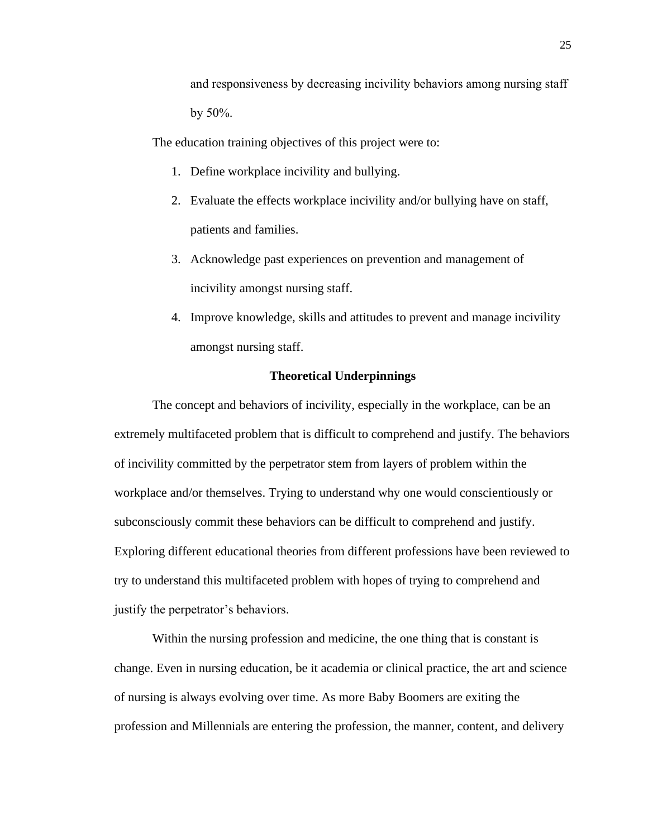and responsiveness by decreasing incivility behaviors among nursing staff by 50%.

The education training objectives of this project were to:

- 1. Define workplace incivility and bullying.
- 2. Evaluate the effects workplace incivility and/or bullying have on staff, patients and families.
- 3. Acknowledge past experiences on prevention and management of incivility amongst nursing staff.
- 4. Improve knowledge, skills and attitudes to prevent and manage incivility amongst nursing staff.

### **Theoretical Underpinnings**

The concept and behaviors of incivility, especially in the workplace, can be an extremely multifaceted problem that is difficult to comprehend and justify. The behaviors of incivility committed by the perpetrator stem from layers of problem within the workplace and/or themselves. Trying to understand why one would conscientiously or subconsciously commit these behaviors can be difficult to comprehend and justify. Exploring different educational theories from different professions have been reviewed to try to understand this multifaceted problem with hopes of trying to comprehend and justify the perpetrator's behaviors.

Within the nursing profession and medicine, the one thing that is constant is change. Even in nursing education, be it academia or clinical practice, the art and science of nursing is always evolving over time. As more Baby Boomers are exiting the profession and Millennials are entering the profession, the manner, content, and delivery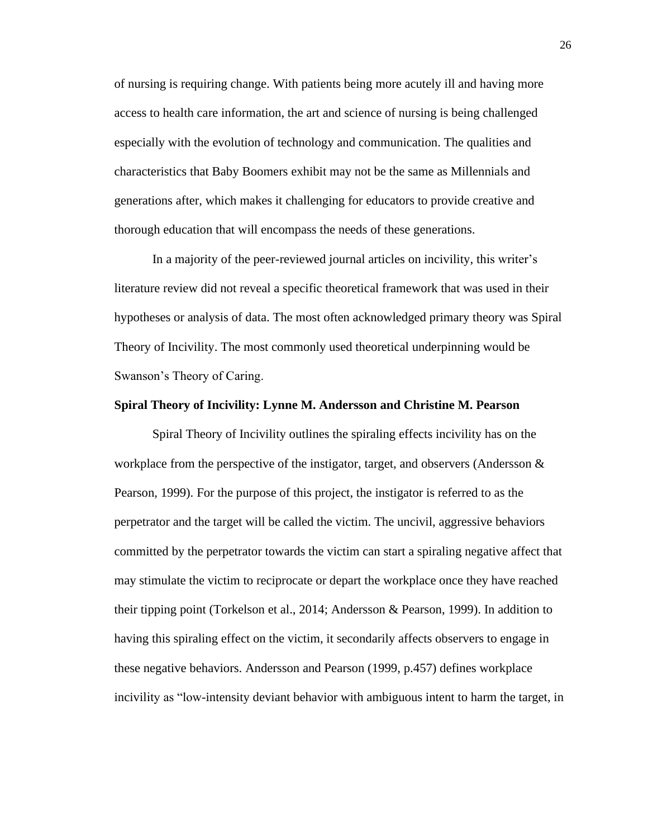of nursing is requiring change. With patients being more acutely ill and having more access to health care information, the art and science of nursing is being challenged especially with the evolution of technology and communication. The qualities and characteristics that Baby Boomers exhibit may not be the same as Millennials and generations after, which makes it challenging for educators to provide creative and thorough education that will encompass the needs of these generations.

In a majority of the peer-reviewed journal articles on incivility, this writer's literature review did not reveal a specific theoretical framework that was used in their hypotheses or analysis of data. The most often acknowledged primary theory was Spiral Theory of Incivility. The most commonly used theoretical underpinning would be Swanson's Theory of Caring.

#### **Spiral Theory of Incivility: Lynne M. Andersson and Christine M. Pearson**

Spiral Theory of Incivility outlines the spiraling effects incivility has on the workplace from the perspective of the instigator, target, and observers (Andersson  $\&$ Pearson, 1999). For the purpose of this project, the instigator is referred to as the perpetrator and the target will be called the victim. The uncivil, aggressive behaviors committed by the perpetrator towards the victim can start a spiraling negative affect that may stimulate the victim to reciprocate or depart the workplace once they have reached their tipping point (Torkelson et al., 2014; Andersson & Pearson, 1999). In addition to having this spiraling effect on the victim, it secondarily affects observers to engage in these negative behaviors. Andersson and Pearson (1999, p.457) defines workplace incivility as "low-intensity deviant behavior with ambiguous intent to harm the target, in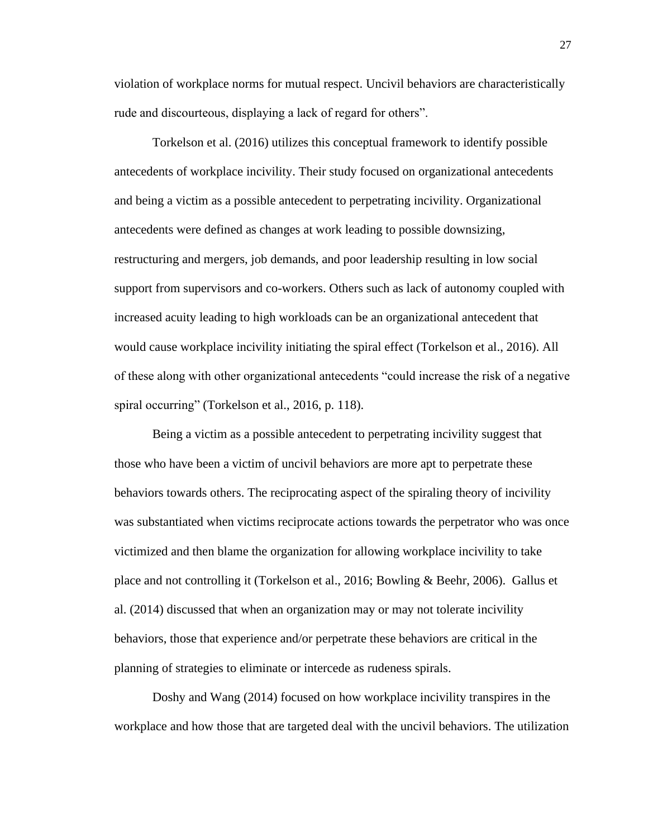violation of workplace norms for mutual respect. Uncivil behaviors are characteristically rude and discourteous, displaying a lack of regard for others".

Torkelson et al. (2016) utilizes this conceptual framework to identify possible antecedents of workplace incivility. Their study focused on organizational antecedents and being a victim as a possible antecedent to perpetrating incivility. Organizational antecedents were defined as changes at work leading to possible downsizing, restructuring and mergers, job demands, and poor leadership resulting in low social support from supervisors and co-workers. Others such as lack of autonomy coupled with increased acuity leading to high workloads can be an organizational antecedent that would cause workplace incivility initiating the spiral effect (Torkelson et al., 2016). All of these along with other organizational antecedents "could increase the risk of a negative spiral occurring" (Torkelson et al., 2016, p. 118).

Being a victim as a possible antecedent to perpetrating incivility suggest that those who have been a victim of uncivil behaviors are more apt to perpetrate these behaviors towards others. The reciprocating aspect of the spiraling theory of incivility was substantiated when victims reciprocate actions towards the perpetrator who was once victimized and then blame the organization for allowing workplace incivility to take place and not controlling it (Torkelson et al., 2016; Bowling & Beehr, 2006). Gallus et al. (2014) discussed that when an organization may or may not tolerate incivility behaviors, those that experience and/or perpetrate these behaviors are critical in the planning of strategies to eliminate or intercede as rudeness spirals.

Doshy and Wang (2014) focused on how workplace incivility transpires in the workplace and how those that are targeted deal with the uncivil behaviors. The utilization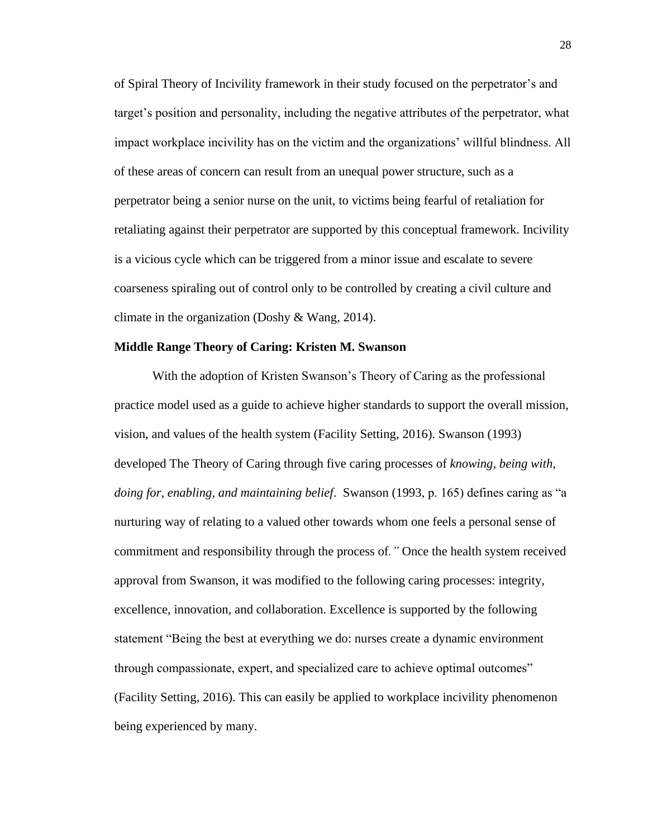of Spiral Theory of Incivility framework in their study focused on the perpetrator's and target's position and personality, including the negative attributes of the perpetrator, what impact workplace incivility has on the victim and the organizations' willful blindness. All of these areas of concern can result from an unequal power structure, such as a perpetrator being a senior nurse on the unit, to victims being fearful of retaliation for retaliating against their perpetrator are supported by this conceptual framework. Incivility is a vicious cycle which can be triggered from a minor issue and escalate to severe coarseness spiraling out of control only to be controlled by creating a civil culture and climate in the organization (Doshy & Wang, 2014).

#### **Middle Range Theory of Caring: Kristen M. Swanson**

With the adoption of Kristen Swanson's Theory of Caring as the professional practice model used as a guide to achieve higher standards to support the overall mission, vision, and values of the health system (Facility Setting, 2016). Swanson (1993) developed The Theory of Caring through five caring processes of *knowing, being with, doing for, enabling, and maintaining belief*. Swanson (1993, p. 165) defines caring as "a nurturing way of relating to a valued other towards whom one feels a personal sense of commitment and responsibility through the process of*."* Once the health system received approval from Swanson, it was modified to the following caring processes: integrity, excellence, innovation, and collaboration. Excellence is supported by the following statement "Being the best at everything we do: nurses create a dynamic environment through compassionate, expert, and specialized care to achieve optimal outcomes" (Facility Setting, 2016). This can easily be applied to workplace incivility phenomenon being experienced by many.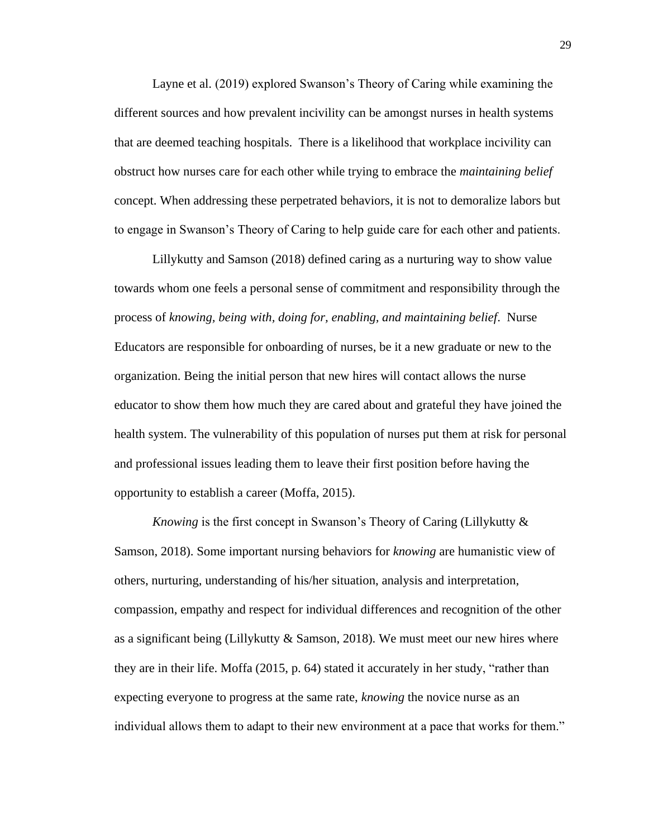Layne et al. (2019) explored Swanson's Theory of Caring while examining the different sources and how prevalent incivility can be amongst nurses in health systems that are deemed teaching hospitals. There is a likelihood that workplace incivility can obstruct how nurses care for each other while trying to embrace the *maintaining belief* concept. When addressing these perpetrated behaviors, it is not to demoralize labors but to engage in Swanson's Theory of Caring to help guide care for each other and patients.

Lillykutty and Samson (2018) defined caring as a nurturing way to show value towards whom one feels a personal sense of commitment and responsibility through the process of *knowing, being with, doing for, enabling, and maintaining belief*. Nurse Educators are responsible for onboarding of nurses, be it a new graduate or new to the organization. Being the initial person that new hires will contact allows the nurse educator to show them how much they are cared about and grateful they have joined the health system. The vulnerability of this population of nurses put them at risk for personal and professional issues leading them to leave their first position before having the opportunity to establish a career (Moffa, 2015).

*Knowing* is the first concept in Swanson's Theory of Caring (Lillykutty & Samson, 2018). Some important nursing behaviors for *knowing* are humanistic view of others, nurturing, understanding of his/her situation, analysis and interpretation, compassion, empathy and respect for individual differences and recognition of the other as a significant being (Lillykutty & Samson, 2018). We must meet our new hires where they are in their life. Moffa (2015, p. 64) stated it accurately in her study, "rather than expecting everyone to progress at the same rate, *knowing* the novice nurse as an individual allows them to adapt to their new environment at a pace that works for them."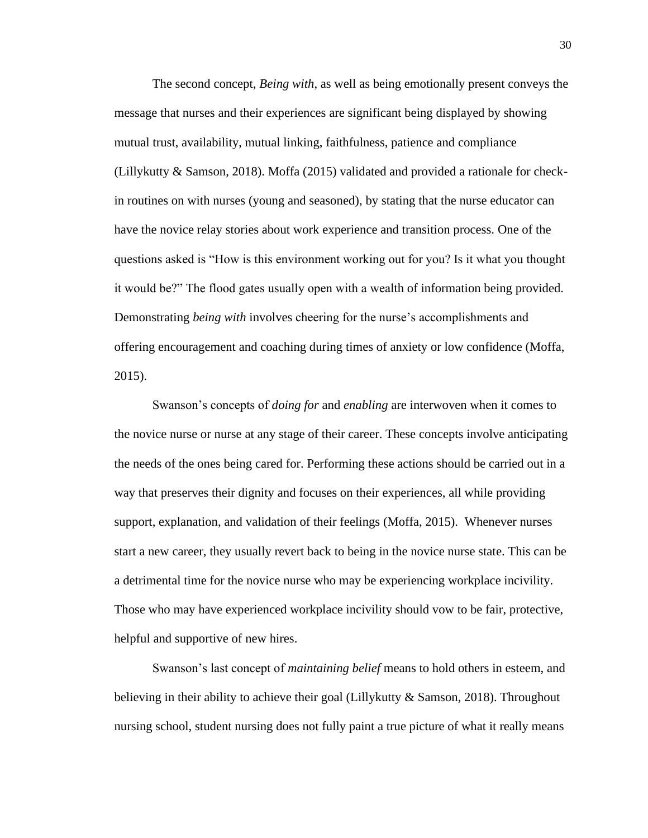The second concept, *Being with*, as well as being emotionally present conveys the message that nurses and their experiences are significant being displayed by showing mutual trust, availability, mutual linking, faithfulness, patience and compliance (Lillykutty & Samson, 2018). Moffa (2015) validated and provided a rationale for checkin routines on with nurses (young and seasoned), by stating that the nurse educator can have the novice relay stories about work experience and transition process. One of the questions asked is "How is this environment working out for you? Is it what you thought it would be?" The flood gates usually open with a wealth of information being provided. Demonstrating *being with* involves cheering for the nurse's accomplishments and offering encouragement and coaching during times of anxiety or low confidence (Moffa, 2015).

Swanson's concepts of *doing for* and *enabling* are interwoven when it comes to the novice nurse or nurse at any stage of their career. These concepts involve anticipating the needs of the ones being cared for. Performing these actions should be carried out in a way that preserves their dignity and focuses on their experiences, all while providing support, explanation, and validation of their feelings (Moffa, 2015). Whenever nurses start a new career, they usually revert back to being in the novice nurse state. This can be a detrimental time for the novice nurse who may be experiencing workplace incivility. Those who may have experienced workplace incivility should vow to be fair, protective, helpful and supportive of new hires.

Swanson's last concept of *maintaining belief* means to hold others in esteem, and believing in their ability to achieve their goal (Lillykutty & Samson, 2018). Throughout nursing school, student nursing does not fully paint a true picture of what it really means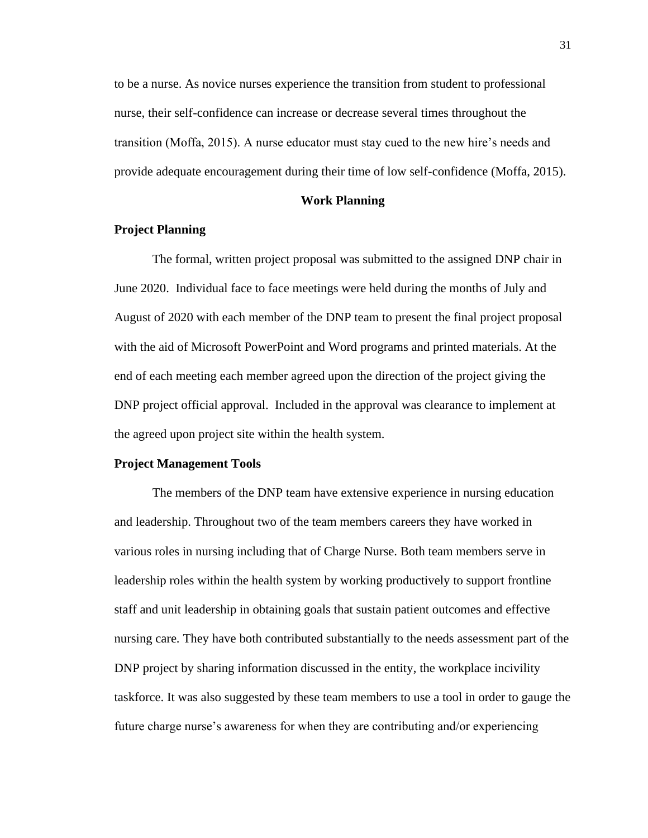to be a nurse. As novice nurses experience the transition from student to professional nurse, their self-confidence can increase or decrease several times throughout the transition (Moffa, 2015). A nurse educator must stay cued to the new hire's needs and provide adequate encouragement during their time of low self-confidence (Moffa, 2015).

#### **Work Planning**

## **Project Planning**

The formal, written project proposal was submitted to the assigned DNP chair in June 2020. Individual face to face meetings were held during the months of July and August of 2020 with each member of the DNP team to present the final project proposal with the aid of Microsoft PowerPoint and Word programs and printed materials. At the end of each meeting each member agreed upon the direction of the project giving the DNP project official approval. Included in the approval was clearance to implement at the agreed upon project site within the health system.

#### **Project Management Tools**

The members of the DNP team have extensive experience in nursing education and leadership. Throughout two of the team members careers they have worked in various roles in nursing including that of Charge Nurse. Both team members serve in leadership roles within the health system by working productively to support frontline staff and unit leadership in obtaining goals that sustain patient outcomes and effective nursing care. They have both contributed substantially to the needs assessment part of the DNP project by sharing information discussed in the entity, the workplace incivility taskforce. It was also suggested by these team members to use a tool in order to gauge the future charge nurse's awareness for when they are contributing and/or experiencing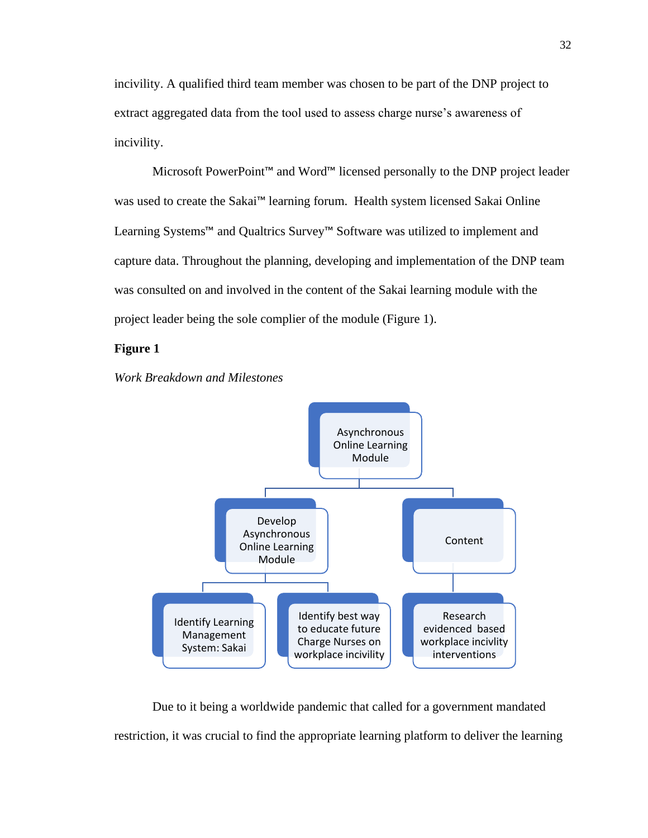incivility. A qualified third team member was chosen to be part of the DNP project to extract aggregated data from the tool used to assess charge nurse's awareness of incivility.

Microsoft PowerPoint™ and Word™ licensed personally to the DNP project leader was used to create the Sakai™ learning forum. Health system licensed Sakai Online Learning Systems™ and Qualtrics Survey™ Software was utilized to implement and capture data. Throughout the planning, developing and implementation of the DNP team was consulted on and involved in the content of the Sakai learning module with the project leader being the sole complier of the module (Figure 1).

## **Figure 1**

## *Work Breakdown and Milestones*



Due to it being a worldwide pandemic that called for a government mandated restriction, it was crucial to find the appropriate learning platform to deliver the learning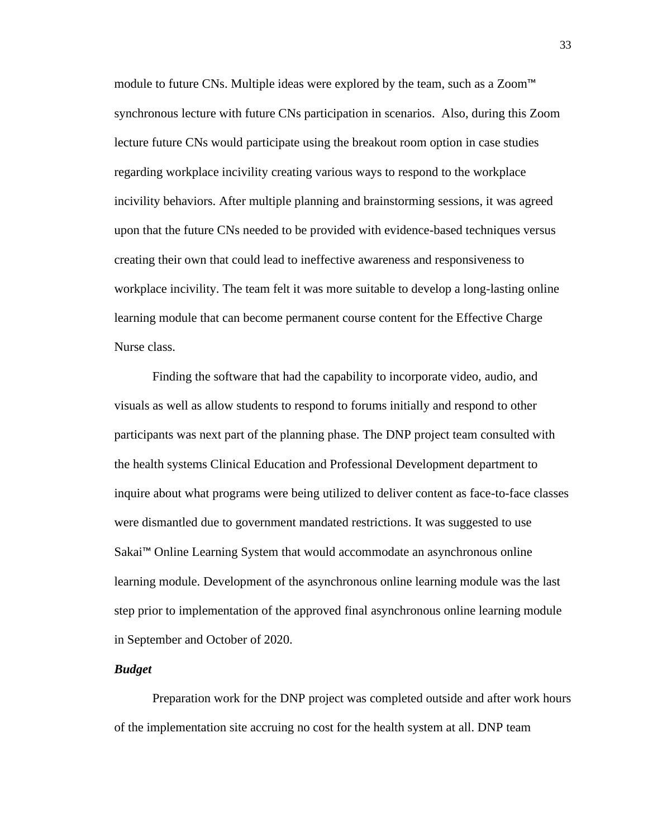module to future CNs. Multiple ideas were explored by the team, such as a Zoom™ synchronous lecture with future CNs participation in scenarios. Also, during this Zoom lecture future CNs would participate using the breakout room option in case studies regarding workplace incivility creating various ways to respond to the workplace incivility behaviors. After multiple planning and brainstorming sessions, it was agreed upon that the future CNs needed to be provided with evidence-based techniques versus creating their own that could lead to ineffective awareness and responsiveness to workplace incivility. The team felt it was more suitable to develop a long-lasting online learning module that can become permanent course content for the Effective Charge Nurse class.

Finding the software that had the capability to incorporate video, audio, and visuals as well as allow students to respond to forums initially and respond to other participants was next part of the planning phase. The DNP project team consulted with the health systems Clinical Education and Professional Development department to inquire about what programs were being utilized to deliver content as face-to-face classes were dismantled due to government mandated restrictions. It was suggested to use Sakai™ Online Learning System that would accommodate an asynchronous online learning module. Development of the asynchronous online learning module was the last step prior to implementation of the approved final asynchronous online learning module in September and October of 2020.

## *Budget*

Preparation work for the DNP project was completed outside and after work hours of the implementation site accruing no cost for the health system at all. DNP team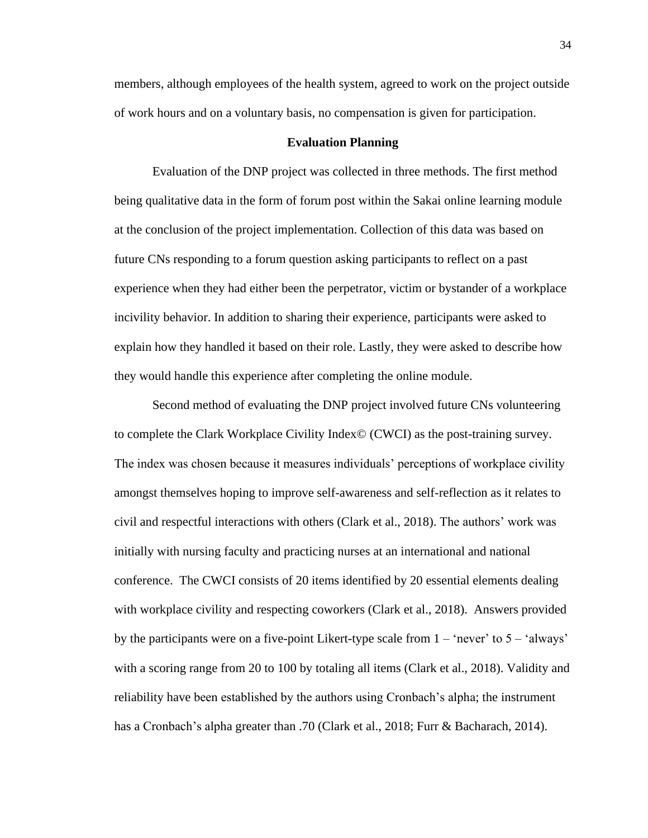members, although employees of the health system, agreed to work on the project outside of work hours and on a voluntary basis, no compensation is given for participation.

#### **Evaluation Planning**

Evaluation of the DNP project was collected in three methods. The first method being qualitative data in the form of forum post within the Sakai online learning module at the conclusion of the project implementation. Collection of this data was based on future CNs responding to a forum question asking participants to reflect on a past experience when they had either been the perpetrator, victim or bystander of a workplace incivility behavior. In addition to sharing their experience, participants were asked to explain how they handled it based on their role. Lastly, they were asked to describe how they would handle this experience after completing the online module.

Second method of evaluating the DNP project involved future CNs volunteering to complete the Clark Workplace Civility Index© (CWCI) as the post-training survey. The index was chosen because it measures individuals' perceptions of workplace civility amongst themselves hoping to improve self-awareness and self-reflection as it relates to civil and respectful interactions with others (Clark et al., 2018). The authors' work was initially with nursing faculty and practicing nurses at an international and national conference. The CWCI consists of 20 items identified by 20 essential elements dealing with workplace civility and respecting coworkers (Clark et al., 2018). Answers provided by the participants were on a five-point Likert-type scale from  $1 - 'never'$  to  $5 - 'always'$ with a scoring range from 20 to 100 by totaling all items (Clark et al., 2018). Validity and reliability have been established by the authors using Cronbach's alpha; the instrument has a Cronbach's alpha greater than .70 (Clark et al., 2018; Furr & Bacharach, 2014).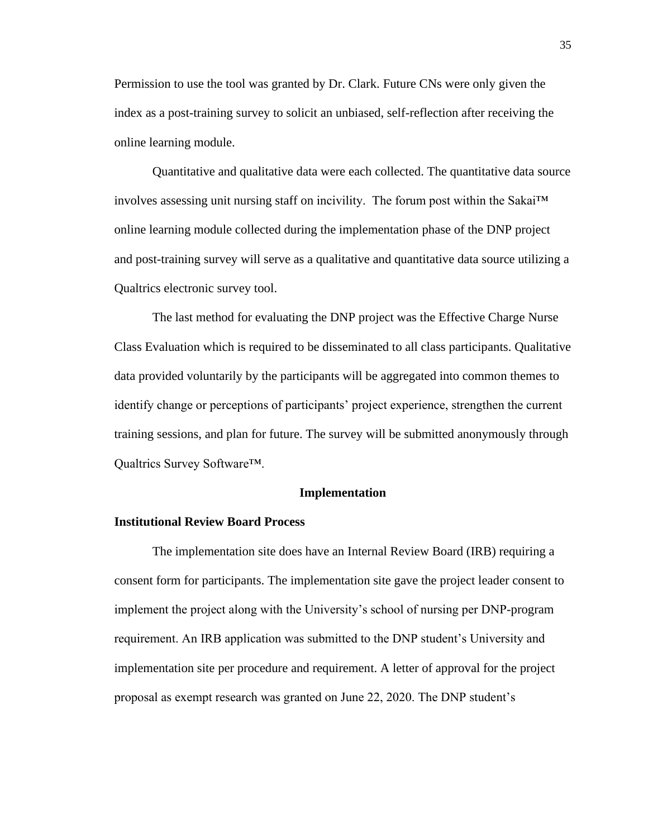Permission to use the tool was granted by Dr. Clark. Future CNs were only given the index as a post-training survey to solicit an unbiased, self-reflection after receiving the online learning module.

Quantitative and qualitative data were each collected. The quantitative data source involves assessing unit nursing staff on incivility. The forum post within the Sakai™ online learning module collected during the implementation phase of the DNP project and post-training survey will serve as a qualitative and quantitative data source utilizing a Qualtrics electronic survey tool.

The last method for evaluating the DNP project was the Effective Charge Nurse Class Evaluation which is required to be disseminated to all class participants. Qualitative data provided voluntarily by the participants will be aggregated into common themes to identify change or perceptions of participants' project experience, strengthen the current training sessions, and plan for future. The survey will be submitted anonymously through Qualtrics Survey Software™.

### **Implementation**

#### **Institutional Review Board Process**

The implementation site does have an Internal Review Board (IRB) requiring a consent form for participants. The implementation site gave the project leader consent to implement the project along with the University's school of nursing per DNP-program requirement. An IRB application was submitted to the DNP student's University and implementation site per procedure and requirement. A letter of approval for the project proposal as exempt research was granted on June 22, 2020. The DNP student's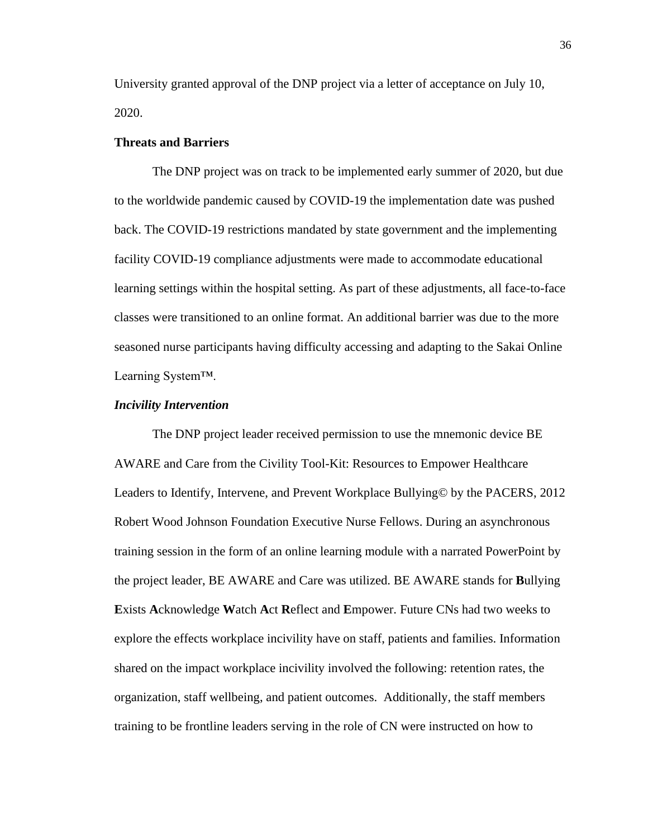University granted approval of the DNP project via a letter of acceptance on July 10, 2020.

### **Threats and Barriers**

The DNP project was on track to be implemented early summer of 2020, but due to the worldwide pandemic caused by COVID-19 the implementation date was pushed back. The COVID-19 restrictions mandated by state government and the implementing facility COVID-19 compliance adjustments were made to accommodate educational learning settings within the hospital setting. As part of these adjustments, all face-to-face classes were transitioned to an online format. An additional barrier was due to the more seasoned nurse participants having difficulty accessing and adapting to the Sakai Online Learning System™.

#### *Incivility Intervention*

The DNP project leader received permission to use the mnemonic device BE AWARE and Care from the Civility Tool-Kit: Resources to Empower Healthcare Leaders to Identify, Intervene, and Prevent Workplace Bullying© by the PACERS, 2012 Robert Wood Johnson Foundation Executive Nurse Fellows. During an asynchronous training session in the form of an online learning module with a narrated PowerPoint by the project leader, BE AWARE and Care was utilized. BE AWARE stands for **B**ullying **E**xists **A**cknowledge **W**atch **A**ct **R**eflect and **E**mpower. Future CNs had two weeks to explore the effects workplace incivility have on staff, patients and families. Information shared on the impact workplace incivility involved the following: retention rates, the organization, staff wellbeing, and patient outcomes. Additionally, the staff members training to be frontline leaders serving in the role of CN were instructed on how to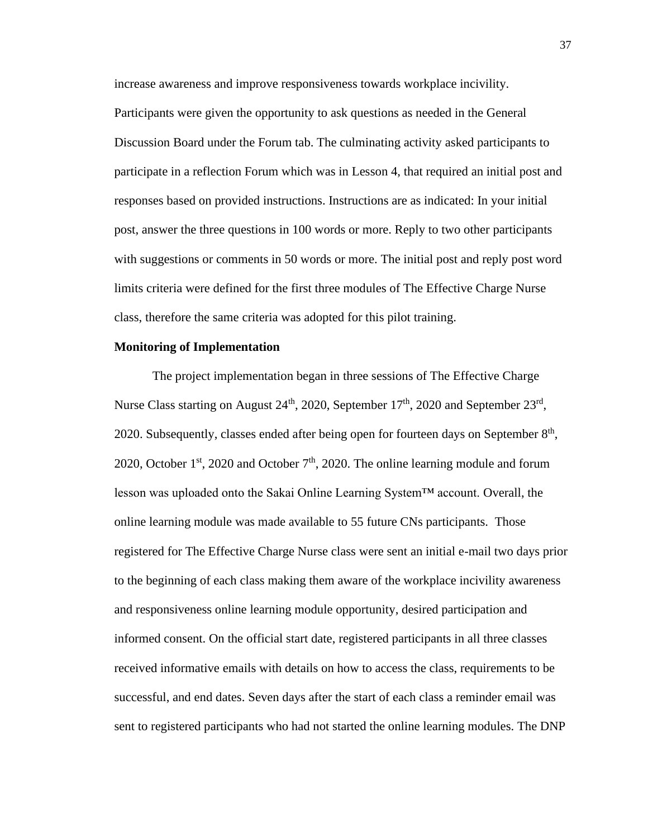increase awareness and improve responsiveness towards workplace incivility.

Participants were given the opportunity to ask questions as needed in the General Discussion Board under the Forum tab. The culminating activity asked participants to participate in a reflection Forum which was in Lesson 4, that required an initial post and responses based on provided instructions. Instructions are as indicated: In your initial post, answer the three questions in 100 words or more. Reply to two other participants with suggestions or comments in 50 words or more. The initial post and reply post word limits criteria were defined for the first three modules of The Effective Charge Nurse class, therefore the same criteria was adopted for this pilot training.

#### **Monitoring of Implementation**

The project implementation began in three sessions of The Effective Charge Nurse Class starting on August  $24<sup>th</sup>$ , 2020, September  $17<sup>th</sup>$ , 2020 and September  $23<sup>rd</sup>$ , 2020. Subsequently, classes ended after being open for fourteen days on September  $8<sup>th</sup>$ , 2020, October  $1<sup>st</sup>$ , 2020 and October  $7<sup>th</sup>$ , 2020. The online learning module and forum lesson was uploaded onto the Sakai Online Learning System™ account. Overall, the online learning module was made available to 55 future CNs participants. Those registered for The Effective Charge Nurse class were sent an initial e-mail two days prior to the beginning of each class making them aware of the workplace incivility awareness and responsiveness online learning module opportunity, desired participation and informed consent. On the official start date, registered participants in all three classes received informative emails with details on how to access the class, requirements to be successful, and end dates. Seven days after the start of each class a reminder email was sent to registered participants who had not started the online learning modules. The DNP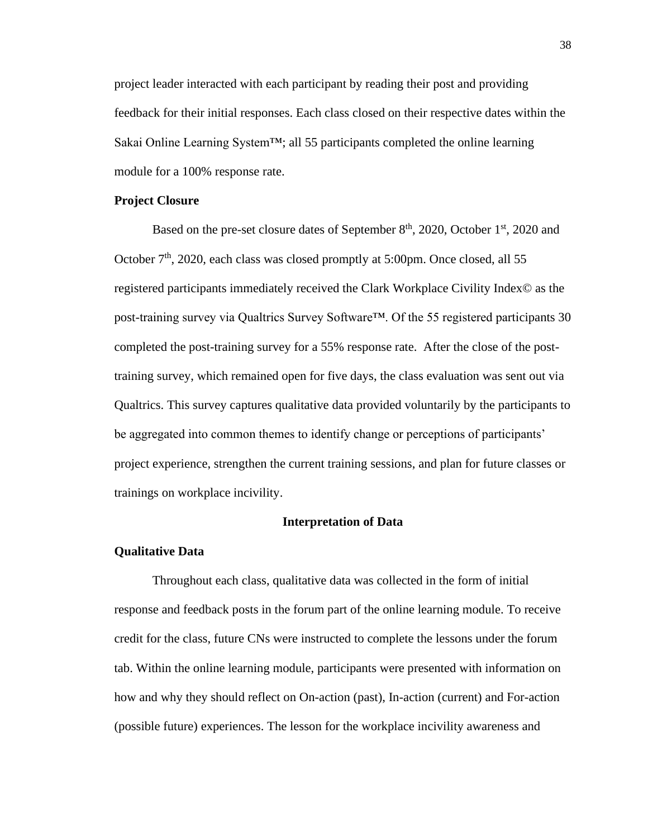project leader interacted with each participant by reading their post and providing feedback for their initial responses. Each class closed on their respective dates within the Sakai Online Learning System™; all 55 participants completed the online learning module for a 100% response rate.

#### **Project Closure**

Based on the pre-set closure dates of September  $8<sup>th</sup>$ , 2020, October  $1<sup>st</sup>$ , 2020 and October  $7<sup>th</sup>$ , 2020, each class was closed promptly at 5:00pm. Once closed, all 55 registered participants immediately received the Clark Workplace Civility Index© as the post-training survey via Qualtrics Survey Software™. Of the 55 registered participants 30 completed the post-training survey for a 55% response rate. After the close of the posttraining survey, which remained open for five days, the class evaluation was sent out via Qualtrics. This survey captures qualitative data provided voluntarily by the participants to be aggregated into common themes to identify change or perceptions of participants' project experience, strengthen the current training sessions, and plan for future classes or trainings on workplace incivility.

#### **Interpretation of Data**

#### **Qualitative Data**

Throughout each class, qualitative data was collected in the form of initial response and feedback posts in the forum part of the online learning module. To receive credit for the class, future CNs were instructed to complete the lessons under the forum tab. Within the online learning module, participants were presented with information on how and why they should reflect on On-action (past), In-action (current) and For-action (possible future) experiences. The lesson for the workplace incivility awareness and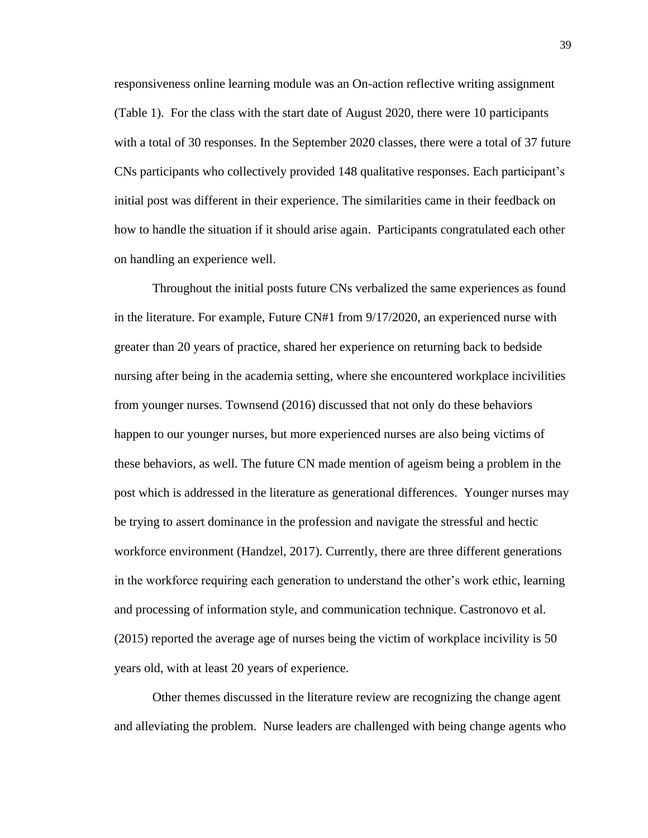responsiveness online learning module was an On-action reflective writing assignment (Table 1). For the class with the start date of August 2020, there were 10 participants with a total of 30 responses. In the September 2020 classes, there were a total of 37 future CNs participants who collectively provided 148 qualitative responses. Each participant's initial post was different in their experience. The similarities came in their feedback on how to handle the situation if it should arise again. Participants congratulated each other on handling an experience well.

Throughout the initial posts future CNs verbalized the same experiences as found in the literature. For example, Future CN#1 from 9/17/2020, an experienced nurse with greater than 20 years of practice, shared her experience on returning back to bedside nursing after being in the academia setting, where she encountered workplace incivilities from younger nurses. Townsend (2016) discussed that not only do these behaviors happen to our younger nurses, but more experienced nurses are also being victims of these behaviors, as well. The future CN made mention of ageism being a problem in the post which is addressed in the literature as generational differences. Younger nurses may be trying to assert dominance in the profession and navigate the stressful and hectic workforce environment (Handzel, 2017). Currently, there are three different generations in the workforce requiring each generation to understand the other's work ethic, learning and processing of information style, and communication technique. Castronovo et al. (2015) reported the average age of nurses being the victim of workplace incivility is 50 years old, with at least 20 years of experience.

Other themes discussed in the literature review are recognizing the change agent and alleviating the problem. Nurse leaders are challenged with being change agents who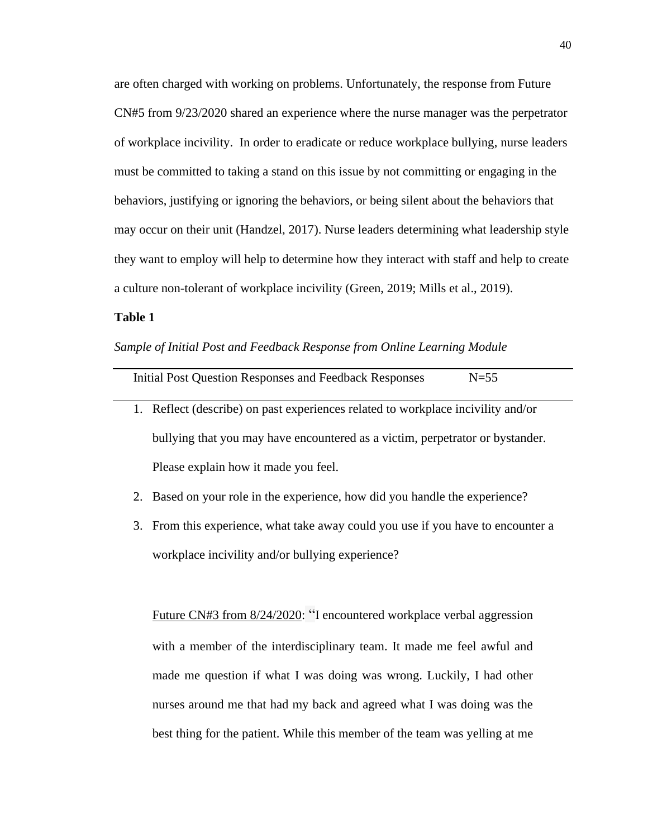are often charged with working on problems. Unfortunately, the response from Future CN#5 from 9/23/2020 shared an experience where the nurse manager was the perpetrator of workplace incivility. In order to eradicate or reduce workplace bullying, nurse leaders must be committed to taking a stand on this issue by not committing or engaging in the behaviors, justifying or ignoring the behaviors, or being silent about the behaviors that may occur on their unit (Handzel, 2017). Nurse leaders determining what leadership style they want to employ will help to determine how they interact with staff and help to create a culture non-tolerant of workplace incivility (Green, 2019; Mills et al., 2019).

## **Table 1**

*Sample of Initial Post and Feedback Response from Online Learning Module* 

| Initial Post Question Responses and Feedback Responses                           | $N=55$ |
|----------------------------------------------------------------------------------|--------|
| 1. Reflect (describe) on past experiences related to workplace incivility and/or |        |

- bullying that you may have encountered as a victim, perpetrator or bystander. Please explain how it made you feel.
- 2. Based on your role in the experience, how did you handle the experience?
- 3. From this experience, what take away could you use if you have to encounter a workplace incivility and/or bullying experience?

Future CN#3 from 8/24/2020: "I encountered workplace verbal aggression with a member of the interdisciplinary team. It made me feel awful and made me question if what I was doing was wrong. Luckily, I had other nurses around me that had my back and agreed what I was doing was the best thing for the patient. While this member of the team was yelling at me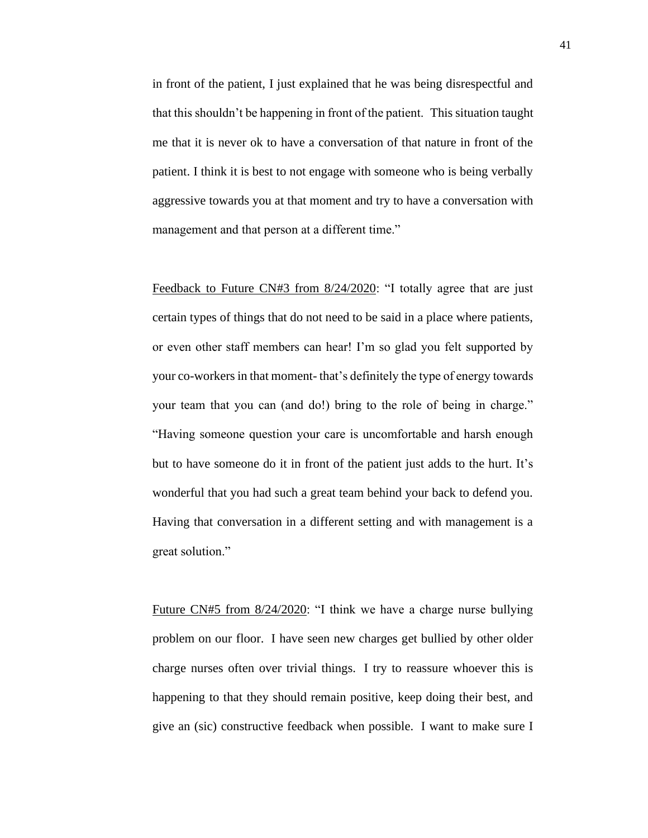in front of the patient, I just explained that he was being disrespectful and that this shouldn't be happening in front of the patient. This situation taught me that it is never ok to have a conversation of that nature in front of the patient. I think it is best to not engage with someone who is being verbally aggressive towards you at that moment and try to have a conversation with management and that person at a different time."

Feedback to Future CN#3 from 8/24/2020: "I totally agree that are just certain types of things that do not need to be said in a place where patients, or even other staff members can hear! I'm so glad you felt supported by your co-workers in that moment- that's definitely the type of energy towards your team that you can (and do!) bring to the role of being in charge." "Having someone question your care is uncomfortable and harsh enough but to have someone do it in front of the patient just adds to the hurt. It's wonderful that you had such a great team behind your back to defend you. Having that conversation in a different setting and with management is a great solution."

Future CN#5 from 8/24/2020: "I think we have a charge nurse bullying problem on our floor. I have seen new charges get bullied by other older charge nurses often over trivial things. I try to reassure whoever this is happening to that they should remain positive, keep doing their best, and give an (sic) constructive feedback when possible. I want to make sure I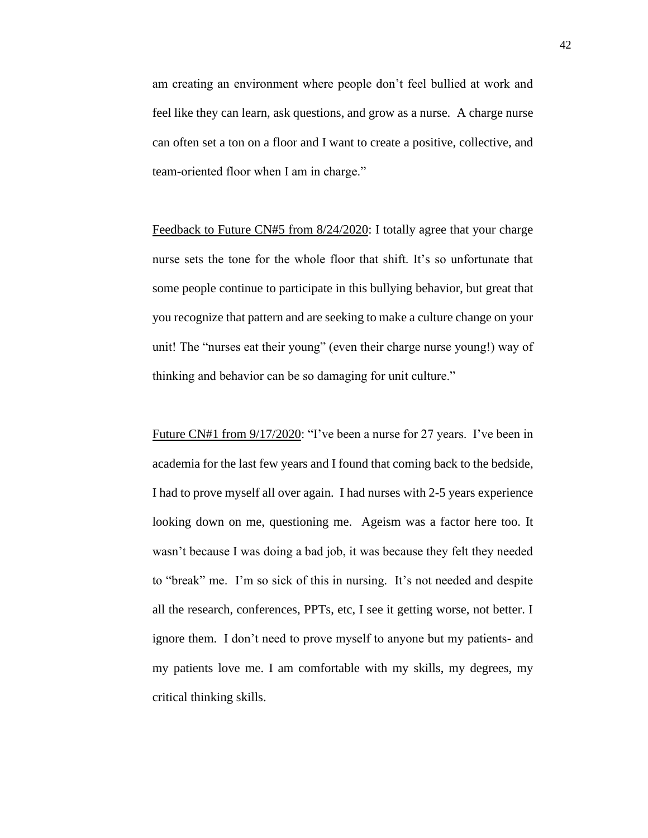am creating an environment where people don't feel bullied at work and feel like they can learn, ask questions, and grow as a nurse. A charge nurse can often set a ton on a floor and I want to create a positive, collective, and team-oriented floor when I am in charge."

Feedback to Future CN#5 from 8/24/2020: I totally agree that your charge nurse sets the tone for the whole floor that shift. It's so unfortunate that some people continue to participate in this bullying behavior, but great that you recognize that pattern and are seeking to make a culture change on your unit! The "nurses eat their young" (even their charge nurse young!) way of thinking and behavior can be so damaging for unit culture."

Future CN#1 from 9/17/2020: "I've been a nurse for 27 years. I've been in academia for the last few years and I found that coming back to the bedside, I had to prove myself all over again. I had nurses with 2-5 years experience looking down on me, questioning me. Ageism was a factor here too. It wasn't because I was doing a bad job, it was because they felt they needed to "break" me. I'm so sick of this in nursing. It's not needed and despite all the research, conferences, PPTs, etc, I see it getting worse, not better. I ignore them. I don't need to prove myself to anyone but my patients- and my patients love me. I am comfortable with my skills, my degrees, my critical thinking skills.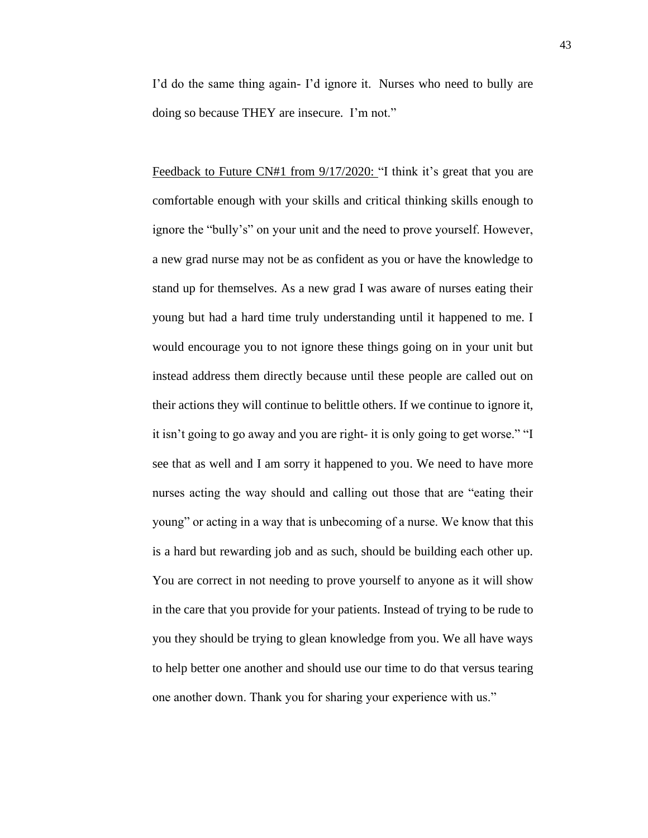I'd do the same thing again- I'd ignore it. Nurses who need to bully are doing so because THEY are insecure. I'm not."

Feedback to Future CN#1 from  $9/17/2020$ : "I think it's great that you are comfortable enough with your skills and critical thinking skills enough to ignore the "bully's" on your unit and the need to prove yourself. However, a new grad nurse may not be as confident as you or have the knowledge to stand up for themselves. As a new grad I was aware of nurses eating their young but had a hard time truly understanding until it happened to me. I would encourage you to not ignore these things going on in your unit but instead address them directly because until these people are called out on their actions they will continue to belittle others. If we continue to ignore it, it isn't going to go away and you are right- it is only going to get worse." "I see that as well and I am sorry it happened to you. We need to have more nurses acting the way should and calling out those that are "eating their young" or acting in a way that is unbecoming of a nurse. We know that this is a hard but rewarding job and as such, should be building each other up. You are correct in not needing to prove yourself to anyone as it will show in the care that you provide for your patients. Instead of trying to be rude to you they should be trying to glean knowledge from you. We all have ways to help better one another and should use our time to do that versus tearing one another down. Thank you for sharing your experience with us."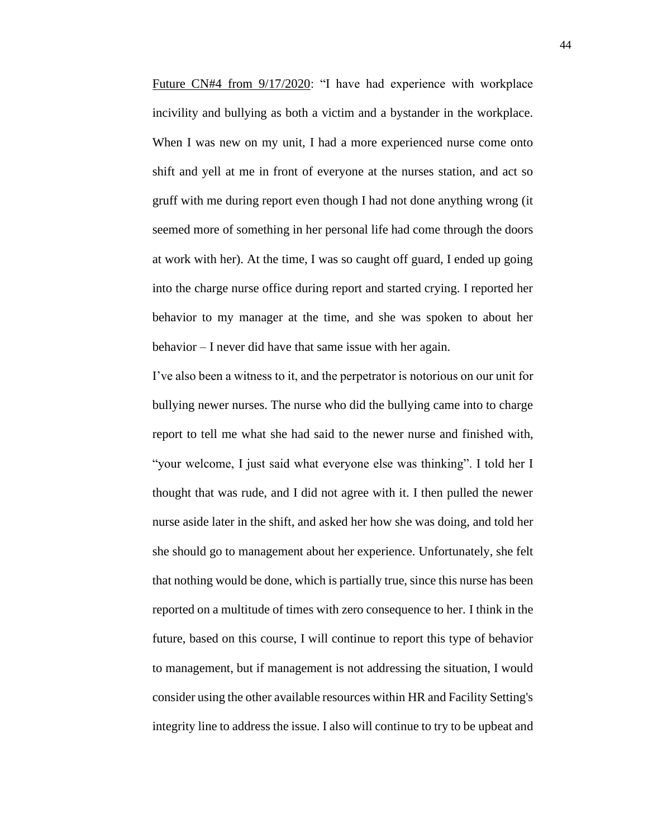Future CN#4 from 9/17/2020: "I have had experience with workplace incivility and bullying as both a victim and a bystander in the workplace. When I was new on my unit, I had a more experienced nurse come onto shift and yell at me in front of everyone at the nurses station, and act so gruff with me during report even though I had not done anything wrong (it seemed more of something in her personal life had come through the doors at work with her). At the time, I was so caught off guard, I ended up going into the charge nurse office during report and started crying. I reported her behavior to my manager at the time, and she was spoken to about her behavior – I never did have that same issue with her again.

I've also been a witness to it, and the perpetrator is notorious on our unit for bullying newer nurses. The nurse who did the bullying came into to charge report to tell me what she had said to the newer nurse and finished with, "your welcome, I just said what everyone else was thinking". I told her I thought that was rude, and I did not agree with it. I then pulled the newer nurse aside later in the shift, and asked her how she was doing, and told her she should go to management about her experience. Unfortunately, she felt that nothing would be done, which is partially true, since this nurse has been reported on a multitude of times with zero consequence to her. I think in the future, based on this course, I will continue to report this type of behavior to management, but if management is not addressing the situation, I would consider using the other available resources within HR and Facility Setting's integrity line to address the issue. I also will continue to try to be upbeat and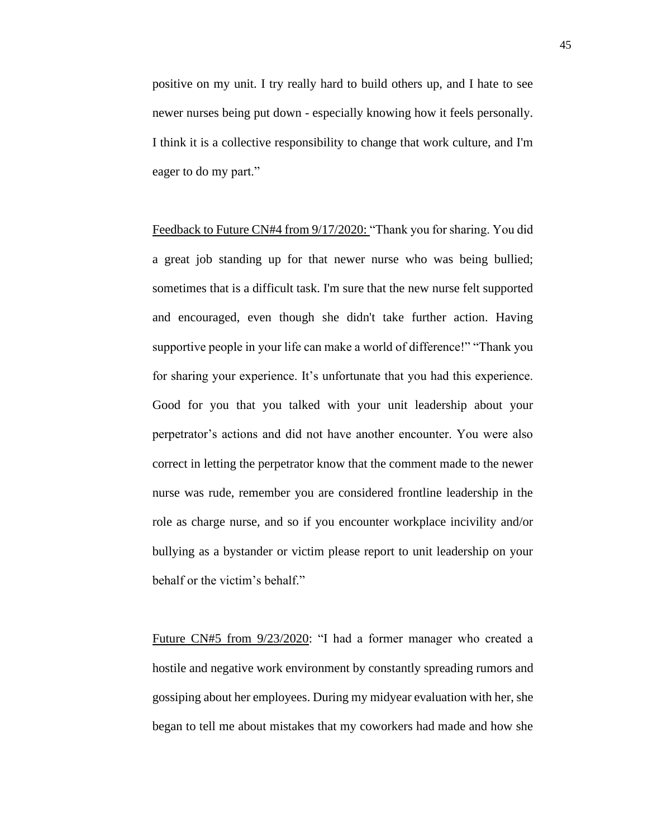positive on my unit. I try really hard to build others up, and I hate to see newer nurses being put down - especially knowing how it feels personally. I think it is a collective responsibility to change that work culture, and I'm eager to do my part."

Feedback to Future CN#4 from 9/17/2020: "Thank you for sharing. You did a great job standing up for that newer nurse who was being bullied; sometimes that is a difficult task. I'm sure that the new nurse felt supported and encouraged, even though she didn't take further action. Having supportive people in your life can make a world of difference!" "Thank you for sharing your experience. It's unfortunate that you had this experience. Good for you that you talked with your unit leadership about your perpetrator's actions and did not have another encounter. You were also correct in letting the perpetrator know that the comment made to the newer nurse was rude, remember you are considered frontline leadership in the role as charge nurse, and so if you encounter workplace incivility and/or bullying as a bystander or victim please report to unit leadership on your behalf or the victim's behalf."

Future CN#5 from 9/23/2020: "I had a former manager who created a hostile and negative work environment by constantly spreading rumors and gossiping about her employees. During my midyear evaluation with her, she began to tell me about mistakes that my coworkers had made and how she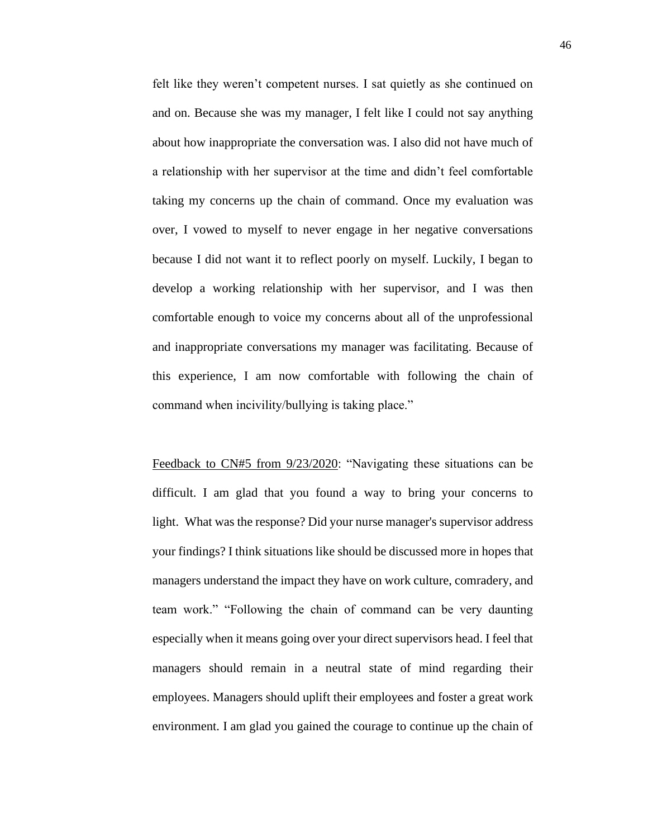felt like they weren't competent nurses. I sat quietly as she continued on and on. Because she was my manager, I felt like I could not say anything about how inappropriate the conversation was. I also did not have much of a relationship with her supervisor at the time and didn't feel comfortable taking my concerns up the chain of command. Once my evaluation was over, I vowed to myself to never engage in her negative conversations because I did not want it to reflect poorly on myself. Luckily, I began to develop a working relationship with her supervisor, and I was then comfortable enough to voice my concerns about all of the unprofessional and inappropriate conversations my manager was facilitating. Because of this experience, I am now comfortable with following the chain of command when incivility/bullying is taking place."

Feedback to CN#5 from  $9/23/2020$ : "Navigating these situations can be difficult. I am glad that you found a way to bring your concerns to light. What was the response? Did your nurse manager's supervisor address your findings? I think situations like should be discussed more in hopes that managers understand the impact they have on work culture, comradery, and team work." "Following the chain of command can be very daunting especially when it means going over your direct supervisors head. I feel that managers should remain in a neutral state of mind regarding their employees. Managers should uplift their employees and foster a great work environment. I am glad you gained the courage to continue up the chain of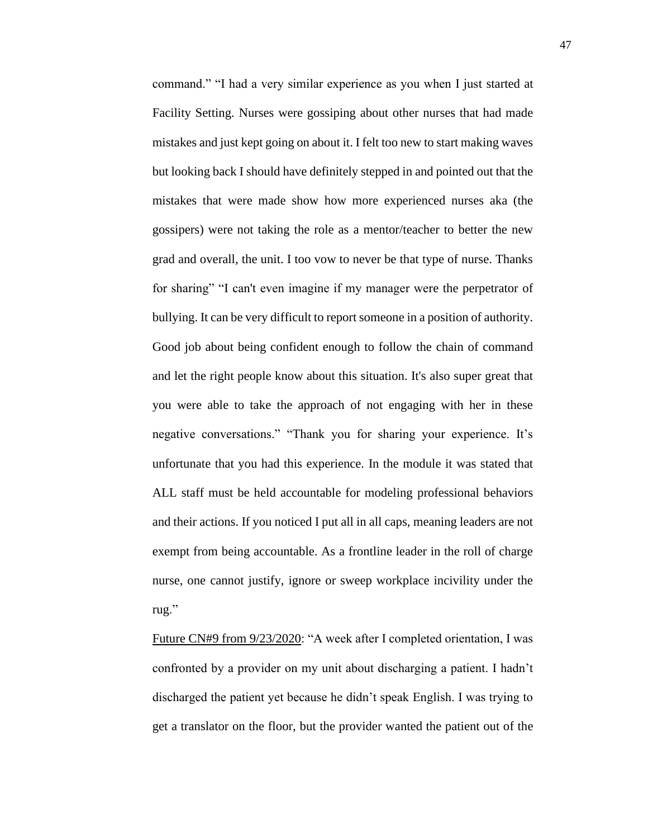command." "I had a very similar experience as you when I just started at Facility Setting. Nurses were gossiping about other nurses that had made mistakes and just kept going on about it. I felt too new to start making waves but looking back I should have definitely stepped in and pointed out that the mistakes that were made show how more experienced nurses aka (the gossipers) were not taking the role as a mentor/teacher to better the new grad and overall, the unit. I too vow to never be that type of nurse. Thanks for sharing" "I can't even imagine if my manager were the perpetrator of bullying. It can be very difficult to report someone in a position of authority. Good job about being confident enough to follow the chain of command and let the right people know about this situation. It's also super great that you were able to take the approach of not engaging with her in these negative conversations." "Thank you for sharing your experience. It's unfortunate that you had this experience. In the module it was stated that ALL staff must be held accountable for modeling professional behaviors and their actions. If you noticed I put all in all caps, meaning leaders are not exempt from being accountable. As a frontline leader in the roll of charge nurse, one cannot justify, ignore or sweep workplace incivility under the rug."

Future CN#9 from 9/23/2020: "A week after I completed orientation, I was confronted by a provider on my unit about discharging a patient. I hadn't discharged the patient yet because he didn't speak English. I was trying to get a translator on the floor, but the provider wanted the patient out of the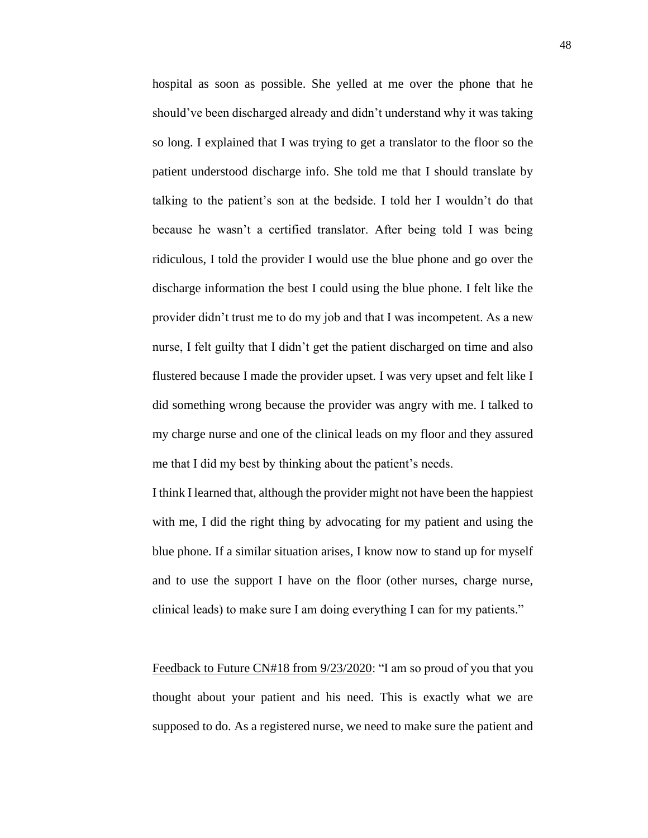hospital as soon as possible. She yelled at me over the phone that he should've been discharged already and didn't understand why it was taking so long. I explained that I was trying to get a translator to the floor so the patient understood discharge info. She told me that I should translate by talking to the patient's son at the bedside. I told her I wouldn't do that because he wasn't a certified translator. After being told I was being ridiculous, I told the provider I would use the blue phone and go over the discharge information the best I could using the blue phone. I felt like the provider didn't trust me to do my job and that I was incompetent. As a new nurse, I felt guilty that I didn't get the patient discharged on time and also flustered because I made the provider upset. I was very upset and felt like I did something wrong because the provider was angry with me. I talked to my charge nurse and one of the clinical leads on my floor and they assured me that I did my best by thinking about the patient's needs.

I think I learned that, although the provider might not have been the happiest with me, I did the right thing by advocating for my patient and using the blue phone. If a similar situation arises, I know now to stand up for myself and to use the support I have on the floor (other nurses, charge nurse, clinical leads) to make sure I am doing everything I can for my patients."

Feedback to Future CN#18 from 9/23/2020: "I am so proud of you that you thought about your patient and his need. This is exactly what we are supposed to do. As a registered nurse, we need to make sure the patient and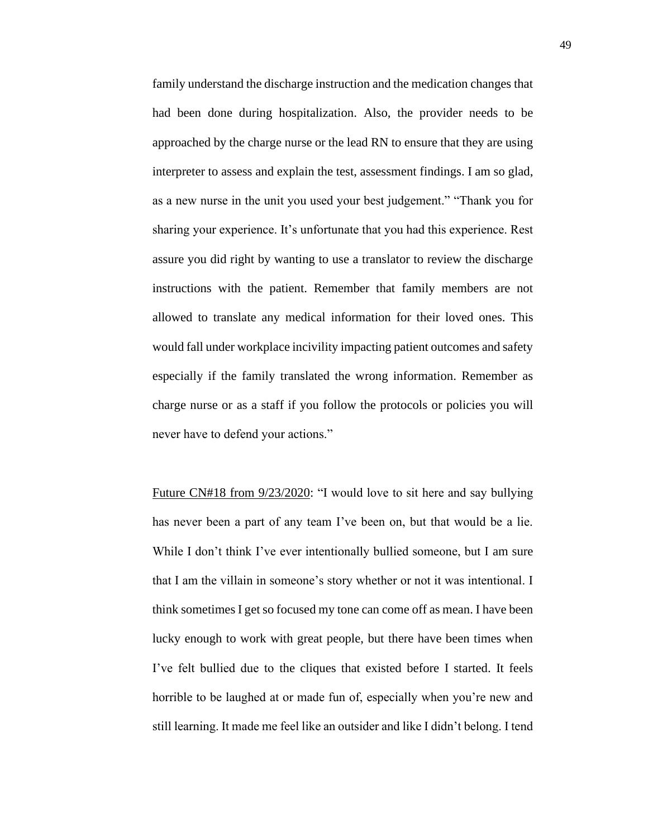family understand the discharge instruction and the medication changes that had been done during hospitalization. Also, the provider needs to be approached by the charge nurse or the lead RN to ensure that they are using interpreter to assess and explain the test, assessment findings. I am so glad, as a new nurse in the unit you used your best judgement." "Thank you for sharing your experience. It's unfortunate that you had this experience. Rest assure you did right by wanting to use a translator to review the discharge instructions with the patient. Remember that family members are not allowed to translate any medical information for their loved ones. This would fall under workplace incivility impacting patient outcomes and safety especially if the family translated the wrong information. Remember as charge nurse or as a staff if you follow the protocols or policies you will never have to defend your actions."

Future CN#18 from 9/23/2020: "I would love to sit here and say bullying has never been a part of any team I've been on, but that would be a lie. While I don't think I've ever intentionally bullied someone, but I am sure that I am the villain in someone's story whether or not it was intentional. I think sometimes I get so focused my tone can come off as mean. I have been lucky enough to work with great people, but there have been times when I've felt bullied due to the cliques that existed before I started. It feels horrible to be laughed at or made fun of, especially when you're new and still learning. It made me feel like an outsider and like I didn't belong. I tend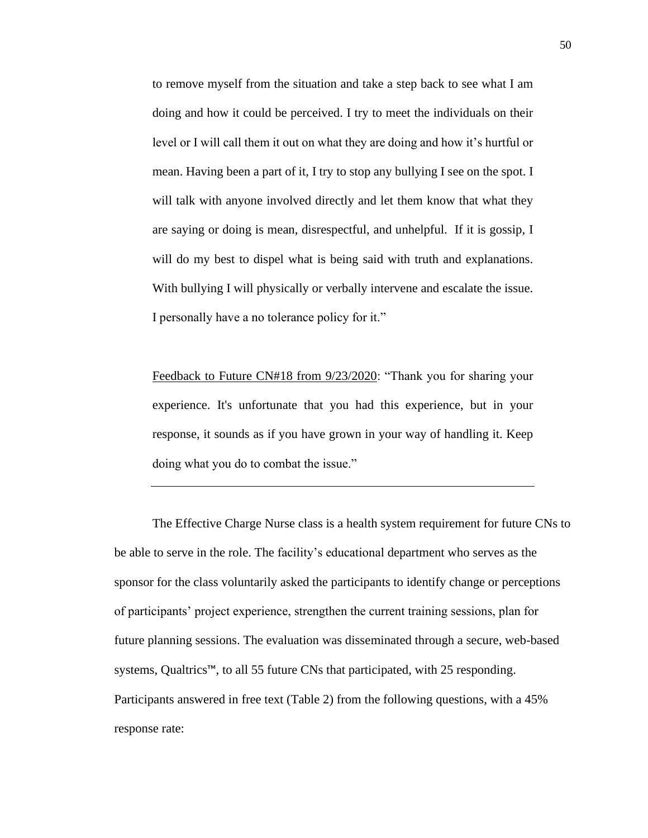to remove myself from the situation and take a step back to see what I am doing and how it could be perceived. I try to meet the individuals on their level or I will call them it out on what they are doing and how it's hurtful or mean. Having been a part of it, I try to stop any bullying I see on the spot. I will talk with anyone involved directly and let them know that what they are saying or doing is mean, disrespectful, and unhelpful. If it is gossip, I will do my best to dispel what is being said with truth and explanations. With bullying I will physically or verbally intervene and escalate the issue. I personally have a no tolerance policy for it."

Feedback to Future CN#18 from 9/23/2020: "Thank you for sharing your experience. It's unfortunate that you had this experience, but in your response, it sounds as if you have grown in your way of handling it. Keep doing what you do to combat the issue."

The Effective Charge Nurse class is a health system requirement for future CNs to be able to serve in the role. The facility's educational department who serves as the sponsor for the class voluntarily asked the participants to identify change or perceptions of participants' project experience, strengthen the current training sessions, plan for future planning sessions. The evaluation was disseminated through a secure, web-based systems, Qualtrics™, to all 55 future CNs that participated, with 25 responding. Participants answered in free text (Table 2) from the following questions, with a 45% response rate: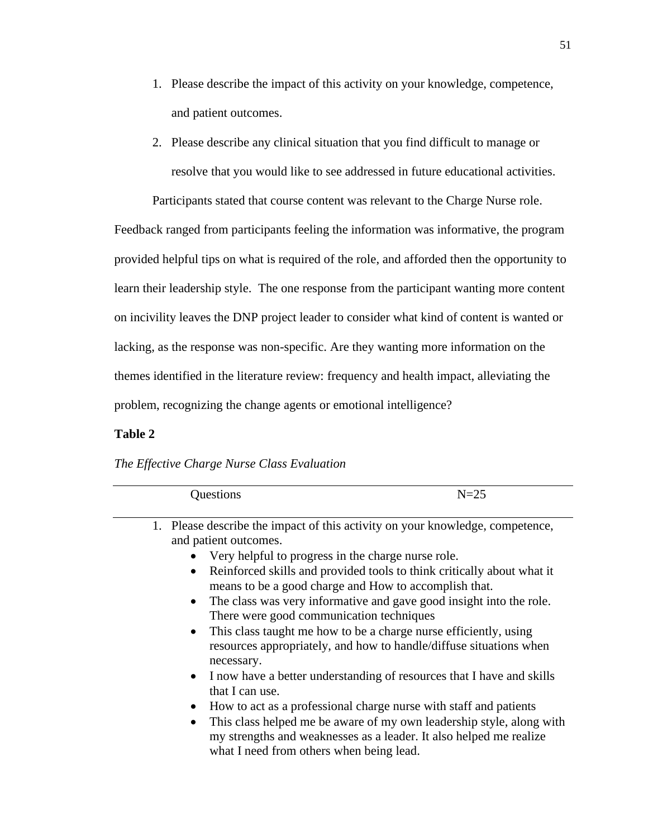- 1. Please describe the impact of this activity on your knowledge, competence, and patient outcomes.
- 2. Please describe any clinical situation that you find difficult to manage or resolve that you would like to see addressed in future educational activities.

Participants stated that course content was relevant to the Charge Nurse role.

Feedback ranged from participants feeling the information was informative, the program provided helpful tips on what is required of the role, and afforded then the opportunity to learn their leadership style. The one response from the participant wanting more content on incivility leaves the DNP project leader to consider what kind of content is wanted or lacking, as the response was non-specific. Are they wanting more information on the themes identified in the literature review: frequency and health impact, alleviating the problem, recognizing the change agents or emotional intelligence?

## **Table 2**

## *The Effective Charge Nurse Class Evaluation*

| Questions                                                                                                                                                                                                                                                                          | $N=25$                                                                                                                                                                                                                                                                                                                                                                                                                                                                                                                                                                                                                                                                                                                        |
|------------------------------------------------------------------------------------------------------------------------------------------------------------------------------------------------------------------------------------------------------------------------------------|-------------------------------------------------------------------------------------------------------------------------------------------------------------------------------------------------------------------------------------------------------------------------------------------------------------------------------------------------------------------------------------------------------------------------------------------------------------------------------------------------------------------------------------------------------------------------------------------------------------------------------------------------------------------------------------------------------------------------------|
| and patient outcomes.<br>Very helpful to progress in the charge nurse role.<br>$\bullet$<br>$\bullet$<br>There were good communication techniques<br>$\bullet$<br>necessary.<br>$\bullet$<br>that I can use.<br>$\bullet$<br>$\bullet$<br>what I need from others when being lead. | 1. Please describe the impact of this activity on your knowledge, competence,<br>Reinforced skills and provided tools to think critically about what it<br>means to be a good charge and How to accomplish that.<br>The class was very informative and gave good insight into the role.<br>This class taught me how to be a charge nurse efficiently, using<br>resources appropriately, and how to handle/diffuse situations when<br>I now have a better understanding of resources that I have and skills<br>How to act as a professional charge nurse with staff and patients<br>This class helped me be aware of my own leadership style, along with<br>my strengths and weaknesses as a leader. It also helped me realize |
|                                                                                                                                                                                                                                                                                    |                                                                                                                                                                                                                                                                                                                                                                                                                                                                                                                                                                                                                                                                                                                               |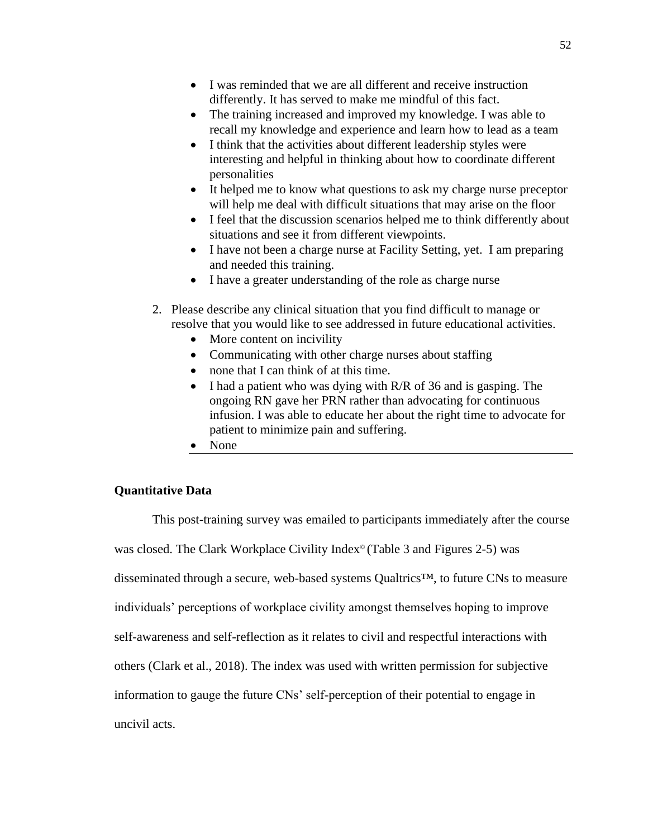- I was reminded that we are all different and receive instruction differently. It has served to make me mindful of this fact.
- The training increased and improved my knowledge. I was able to recall my knowledge and experience and learn how to lead as a team
- I think that the activities about different leadership styles were interesting and helpful in thinking about how to coordinate different personalities
- It helped me to know what questions to ask my charge nurse preceptor will help me deal with difficult situations that may arise on the floor
- I feel that the discussion scenarios helped me to think differently about situations and see it from different viewpoints.
- I have not been a charge nurse at Facility Setting, yet. I am preparing and needed this training.
- I have a greater understanding of the role as charge nurse
- 2. Please describe any clinical situation that you find difficult to manage or resolve that you would like to see addressed in future educational activities.
	- More content on incivility
	- Communicating with other charge nurses about staffing
	- none that I can think of at this time.
	- I had a patient who was dying with R/R of 36 and is gasping. The ongoing RN gave her PRN rather than advocating for continuous infusion. I was able to educate her about the right time to advocate for patient to minimize pain and suffering.
	- None

## **Quantitative Data**

This post-training survey was emailed to participants immediately after the course was closed. The Clark Workplace Civility Index© (Table 3 and Figures 2-5) was disseminated through a secure, web-based systems Qualtrics™, to future CNs to measure individuals' perceptions of workplace civility amongst themselves hoping to improve self-awareness and self-reflection as it relates to civil and respectful interactions with others (Clark et al., 2018). The index was used with written permission for subjective information to gauge the future CNs' self-perception of their potential to engage in uncivil acts.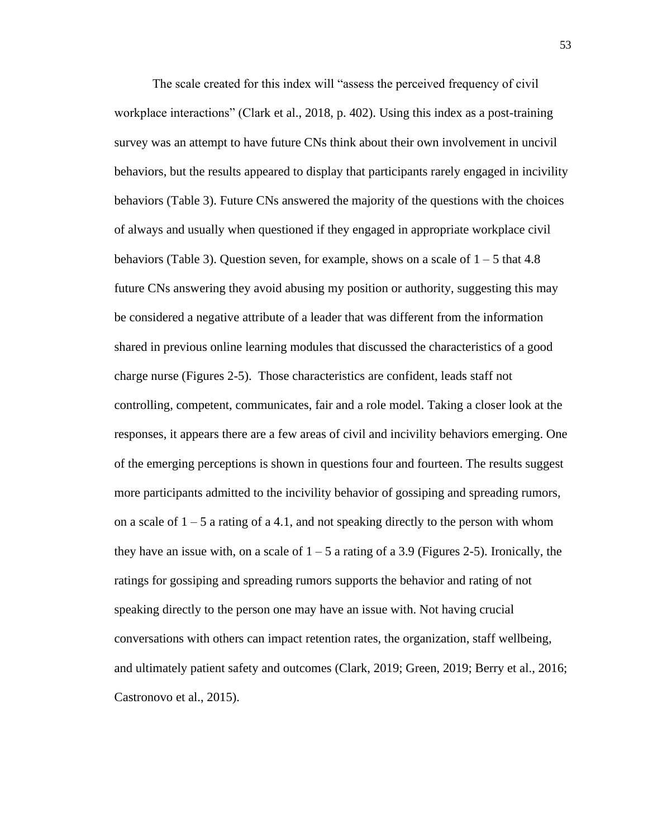The scale created for this index will "assess the perceived frequency of civil workplace interactions" (Clark et al., 2018, p. 402). Using this index as a post-training survey was an attempt to have future CNs think about their own involvement in uncivil behaviors, but the results appeared to display that participants rarely engaged in incivility behaviors (Table 3). Future CNs answered the majority of the questions with the choices of always and usually when questioned if they engaged in appropriate workplace civil behaviors (Table 3). Question seven, for example, shows on a scale of 1 – 5 that 4.8 future CNs answering they avoid abusing my position or authority, suggesting this may be considered a negative attribute of a leader that was different from the information shared in previous online learning modules that discussed the characteristics of a good charge nurse (Figures 2-5). Those characteristics are confident, leads staff not controlling, competent, communicates, fair and a role model. Taking a closer look at the responses, it appears there are a few areas of civil and incivility behaviors emerging. One of the emerging perceptions is shown in questions four and fourteen. The results suggest more participants admitted to the incivility behavior of gossiping and spreading rumors, on a scale of  $1 - 5$  a rating of a 4.1, and not speaking directly to the person with whom they have an issue with, on a scale of  $1 - 5$  a rating of a 3.9 (Figures 2-5). Ironically, the ratings for gossiping and spreading rumors supports the behavior and rating of not speaking directly to the person one may have an issue with. Not having crucial conversations with others can impact retention rates, the organization, staff wellbeing, and ultimately patient safety and outcomes (Clark, 2019; Green, 2019; Berry et al., 2016; Castronovo et al., 2015).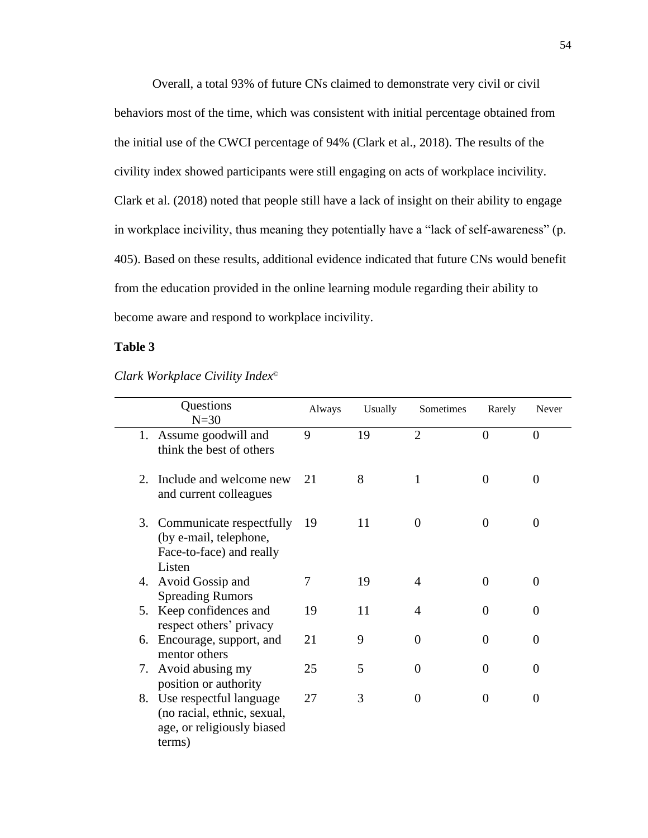Overall, a total 93% of future CNs claimed to demonstrate very civil or civil behaviors most of the time, which was consistent with initial percentage obtained from the initial use of the CWCI percentage of 94% (Clark et al., 2018). The results of the civility index showed participants were still engaging on acts of workplace incivility. Clark et al. (2018) noted that people still have a lack of insight on their ability to engage in workplace incivility, thus meaning they potentially have a "lack of self-awareness" (p. 405). Based on these results, additional evidence indicated that future CNs would benefit from the education provided in the online learning module regarding their ability to become aware and respond to workplace incivility.

## **Table 3**

|    | Questions<br>$N=30$                                                                               | Always | Usually | Sometimes      | Rarely         | Never          |
|----|---------------------------------------------------------------------------------------------------|--------|---------|----------------|----------------|----------------|
|    | 1. Assume goodwill and<br>think the best of others                                                | 9      | 19      | $\overline{2}$ | $\overline{0}$ | $\overline{0}$ |
| 2. | Include and welcome new<br>and current colleagues                                                 | 21     | 8       | $\mathbf{1}$   | $\theta$       | $\theta$       |
| 3. | Communicate respectfully<br>(by e-mail, telephone,<br>Face-to-face) and really<br>Listen          | 19     | 11      | $\overline{0}$ | $\overline{0}$ | $\Omega$       |
|    | 4. Avoid Gossip and<br><b>Spreading Rumors</b>                                                    | 7      | 19      | 4              | $\overline{0}$ | $\Omega$       |
|    | 5. Keep confidences and<br>respect others' privacy                                                | 19     | 11      | 4              | $\theta$       | $\Omega$       |
| 6. | Encourage, support, and<br>mentor others                                                          | 21     | 9       | $\theta$       | $\theta$       | $\theta$       |
| 7. | Avoid abusing my<br>position or authority                                                         | 25     | 5       | $\theta$       | $\theta$       | $\Omega$       |
|    | 8. Use respectful language<br>(no racial, ethnic, sexual,<br>age, or religiously biased<br>terms) | 27     | 3       | $\Omega$       | $\theta$       | $\Omega$       |

*Clark Workplace Civility Index©*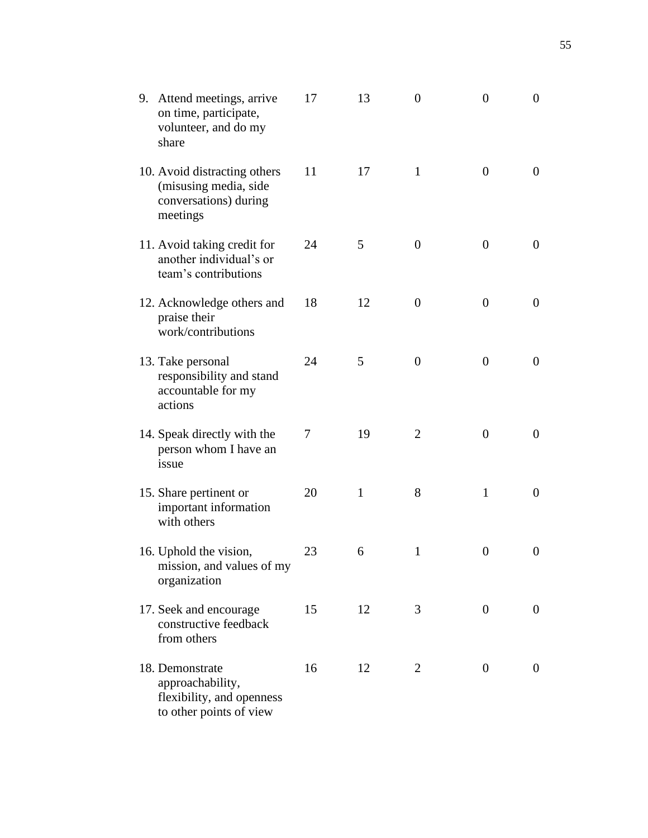| 9. | Attend meetings, arrive<br>on time, participate,<br>volunteer, and do my<br>share           | 17 | 13 | $\boldsymbol{0}$ | $\overline{0}$   | $\boldsymbol{0}$ |
|----|---------------------------------------------------------------------------------------------|----|----|------------------|------------------|------------------|
|    | 10. Avoid distracting others<br>(misusing media, side<br>conversations) during<br>meetings  | 11 | 17 | $\mathbf{1}$     | $\theta$         | $\overline{0}$   |
|    | 11. Avoid taking credit for<br>another individual's or<br>team's contributions              | 24 | 5  | $\boldsymbol{0}$ | $\theta$         | $\overline{0}$   |
|    | 12. Acknowledge others and<br>praise their<br>work/contributions                            | 18 | 12 | $\boldsymbol{0}$ | $\theta$         | $\overline{0}$   |
|    | 13. Take personal<br>responsibility and stand<br>accountable for my<br>actions              | 24 | 5  | $\boldsymbol{0}$ | $\theta$         | $\boldsymbol{0}$ |
|    | 14. Speak directly with the<br>person whom I have an<br>issue                               | 7  | 19 | $\overline{2}$   | $\theta$         | $\boldsymbol{0}$ |
|    | 15. Share pertinent or<br>important information<br>with others                              | 20 | 1  | 8                | $\mathbf{1}$     | $\theta$         |
|    | 16. Uphold the vision,<br>mission, and values of my<br>organization                         | 23 | 6  | $\mathbf{1}$     | $\boldsymbol{0}$ | $\overline{0}$   |
|    | 17. Seek and encourage<br>constructive feedback<br>from others                              | 15 | 12 | 3                | $\overline{0}$   | $\overline{0}$   |
|    | 18. Demonstrate<br>approachability,<br>flexibility, and openness<br>to other points of view | 16 | 12 | $\overline{2}$   | $\overline{0}$   | $\boldsymbol{0}$ |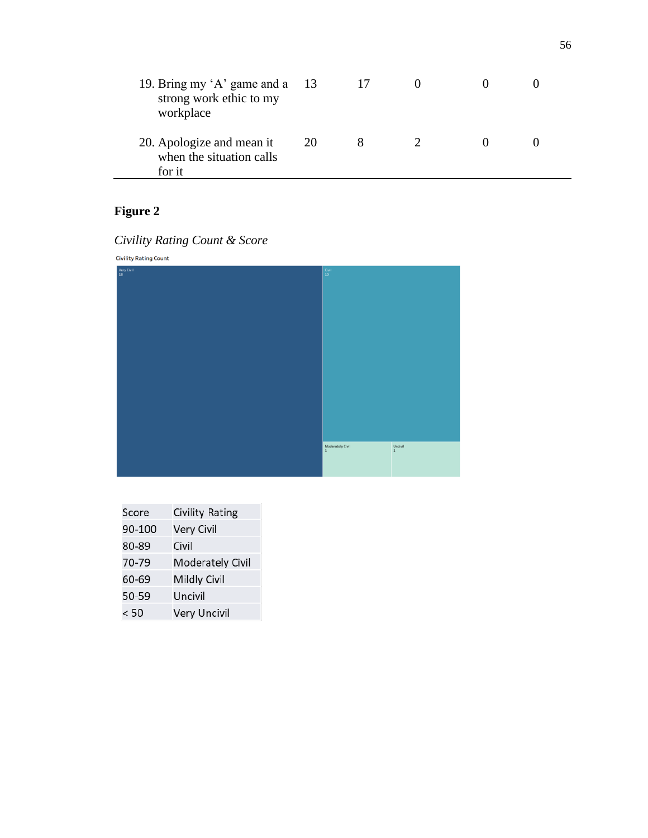| 19. Bring my 'A' game and a 13<br>strong work ethic to my<br>workplace |    |  |  |
|------------------------------------------------------------------------|----|--|--|
| 20. Apologize and mean it<br>when the situation calls<br>for it        | 20 |  |  |

| <b>Civility Rating Count</b> |                                                             |                       |
|------------------------------|-------------------------------------------------------------|-----------------------|
| Very Civil<br>18             | $\frac{\text{Civil}}{10}$                                   |                       |
|                              |                                                             |                       |
|                              |                                                             |                       |
|                              |                                                             |                       |
|                              |                                                             |                       |
|                              |                                                             |                       |
|                              |                                                             |                       |
|                              |                                                             |                       |
|                              |                                                             |                       |
|                              |                                                             |                       |
|                              |                                                             |                       |
|                              |                                                             |                       |
|                              |                                                             |                       |
|                              | $\begin{array}{c} \text{Moderately Civil} \\ 1 \end{array}$ | Uncivil $\frac{1}{1}$ |
|                              |                                                             |                       |
|                              |                                                             |                       |

| Civility Rating Count & Score |  |  |
|-------------------------------|--|--|

| Score  | Civility Rating         |
|--------|-------------------------|
| 90-100 | Very Civil              |
| 80-89  | Civil                   |
| 70-79  | <b>Moderately Civil</b> |
| 60-69  | <b>Mildly Civil</b>     |
| 50-59  | Uncivil                 |
| < 50   | <b>Very Uncivil</b>     |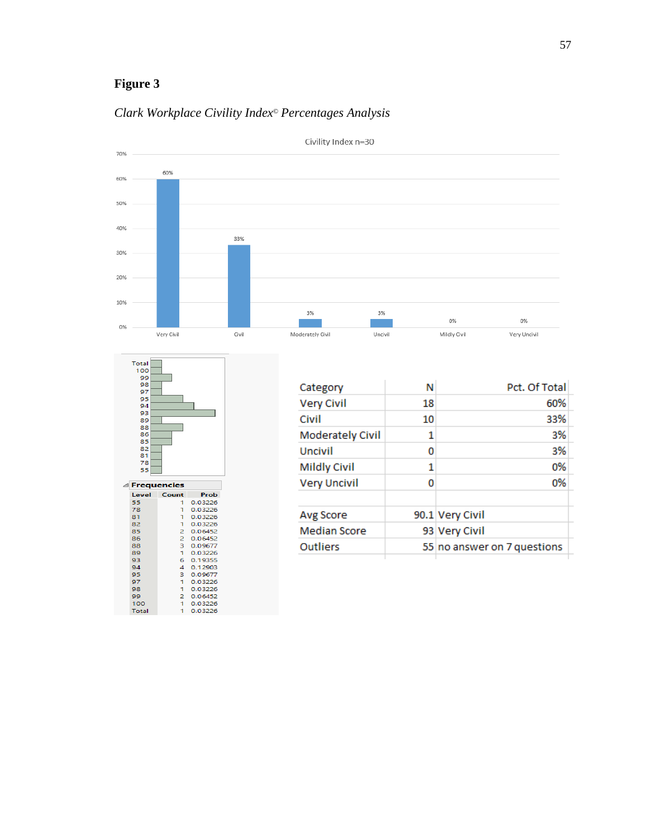

## *Clark Workplace Civility Index© Percentages Analysis*

| Total<br>100<br>99<br>98<br>97<br>95<br>94<br>93<br>89<br>88<br>86<br>85<br>82<br>81<br>78<br>55 |                |                    |  |
|--------------------------------------------------------------------------------------------------|----------------|--------------------|--|
| △ Frequencies                                                                                    |                |                    |  |
| Level                                                                                            | Count          | Prob               |  |
| 55                                                                                               | 1              | 0.03226            |  |
| 78                                                                                               | 1.             | 0.03226            |  |
| 81                                                                                               | 1              | 0.03226            |  |
| 82                                                                                               | 1.             | 0.03226            |  |
| 85                                                                                               | $\overline{2}$ | 0.06452            |  |
| 86                                                                                               | $\overline{2}$ | 0.06452            |  |
| 88                                                                                               | 3              | 0.09677            |  |
| 89                                                                                               | 1.             | 0.03226            |  |
| 93                                                                                               | 6              | 0.19355            |  |
| 94                                                                                               | 4              | 0.12903            |  |
| 95                                                                                               | з              | 0.09677            |  |
| 97                                                                                               | 1              | 0.03226            |  |
| 98                                                                                               | 1              | 0.03226            |  |
| 99                                                                                               | 2              | 0.06452            |  |
| 100<br>Total                                                                                     | Ť.<br>1        | 0.03226<br>0.03226 |  |

| Category                | Ν  | Pct. Of Total               |  |
|-------------------------|----|-----------------------------|--|
| <b>Very Civil</b>       | 18 | 60%                         |  |
| Civil                   | 10 | 33%                         |  |
| <b>Moderately Civil</b> | 1  | 3%                          |  |
| Uncivil                 | 0  | 3%                          |  |
| <b>Mildly Civil</b>     | 1  | 0%                          |  |
| <b>Very Uncivil</b>     | 0  | 0%                          |  |
| Avg Score               |    | 90.1 Very Civil             |  |
| <b>Median Score</b>     |    | 93 Very Civil               |  |
| <b>Outliers</b>         |    | 55 no answer on 7 questions |  |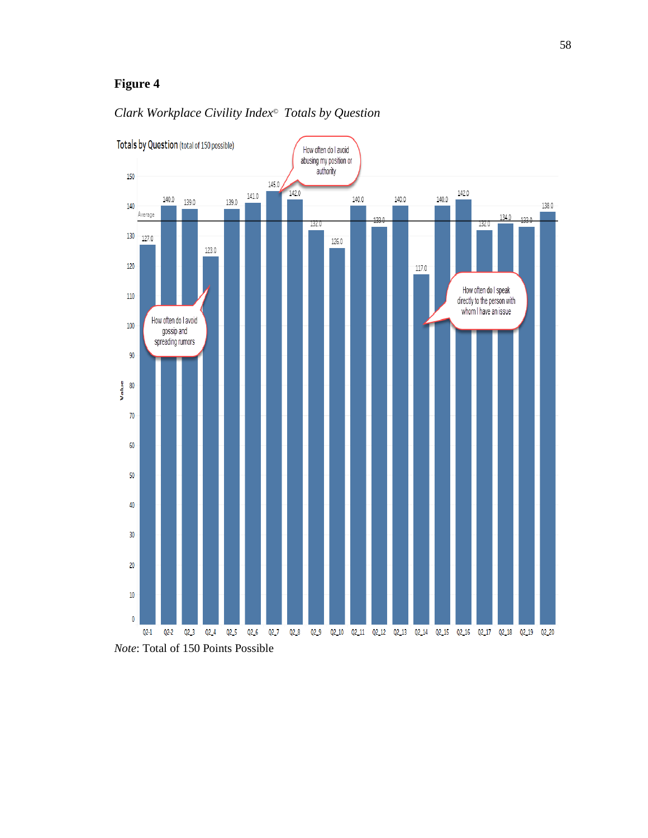

## *Clark Workplace Civility Index© Totals by Question*

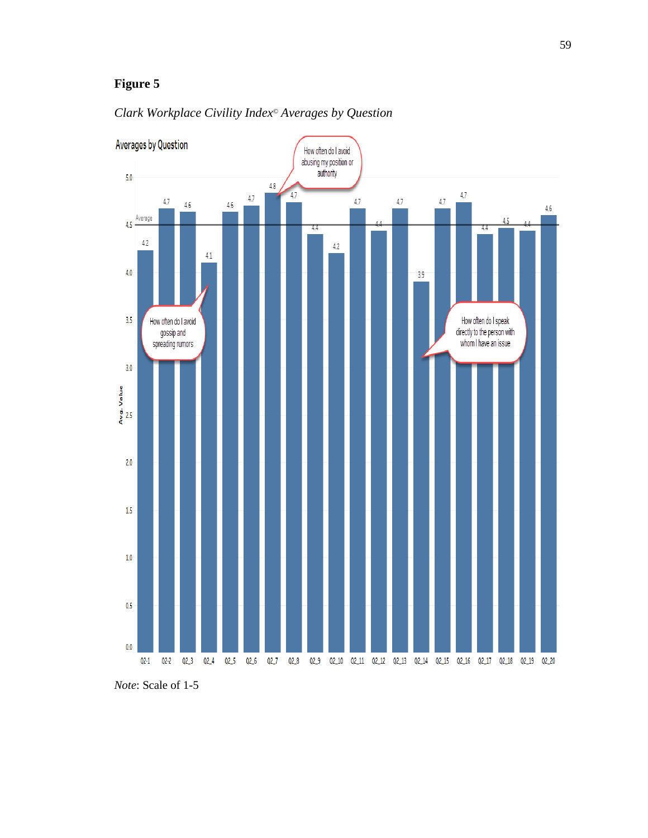



*Note*: Scale of 1-5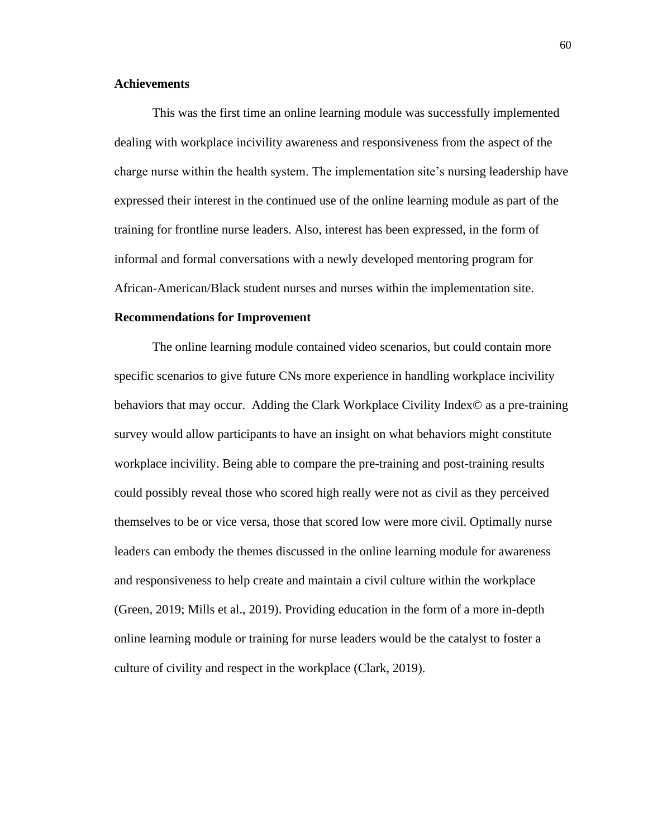## **Achievements**

This was the first time an online learning module was successfully implemented dealing with workplace incivility awareness and responsiveness from the aspect of the charge nurse within the health system. The implementation site's nursing leadership have expressed their interest in the continued use of the online learning module as part of the training for frontline nurse leaders. Also, interest has been expressed, in the form of informal and formal conversations with a newly developed mentoring program for African-American/Black student nurses and nurses within the implementation site.

#### **Recommendations for Improvement**

The online learning module contained video scenarios, but could contain more specific scenarios to give future CNs more experience in handling workplace incivility behaviors that may occur. Adding the Clark Workplace Civility Index© as a pre-training survey would allow participants to have an insight on what behaviors might constitute workplace incivility. Being able to compare the pre-training and post-training results could possibly reveal those who scored high really were not as civil as they perceived themselves to be or vice versa, those that scored low were more civil. Optimally nurse leaders can embody the themes discussed in the online learning module for awareness and responsiveness to help create and maintain a civil culture within the workplace (Green, 2019; Mills et al., 2019). Providing education in the form of a more in-depth online learning module or training for nurse leaders would be the catalyst to foster a culture of civility and respect in the workplace (Clark, 2019).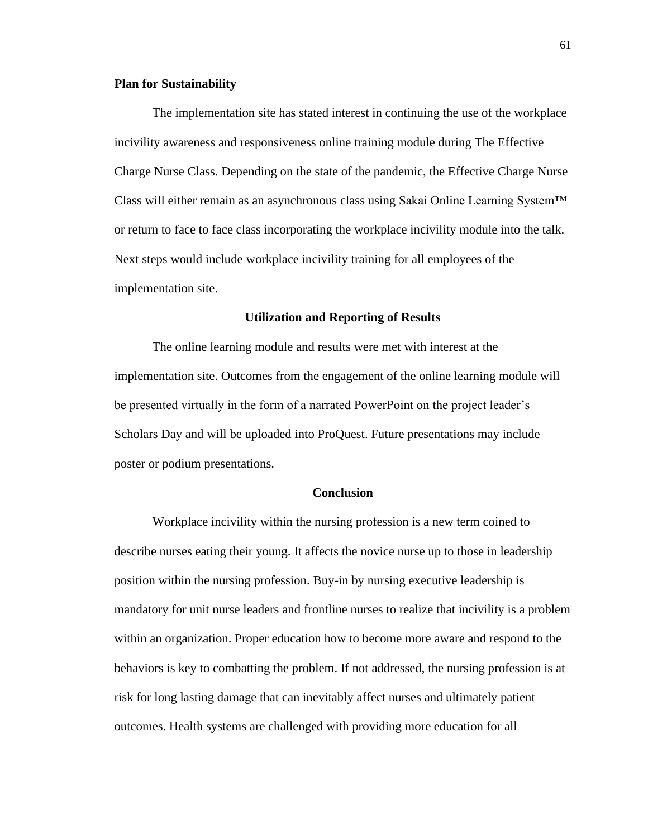#### **Plan for Sustainability**

The implementation site has stated interest in continuing the use of the workplace incivility awareness and responsiveness online training module during The Effective Charge Nurse Class. Depending on the state of the pandemic, the Effective Charge Nurse Class will either remain as an asynchronous class using Sakai Online Learning System<sup>TM</sup> or return to face to face class incorporating the workplace incivility module into the talk. Next steps would include workplace incivility training for all employees of the implementation site.

#### **Utilization and Reporting of Results**

The online learning module and results were met with interest at the implementation site. Outcomes from the engagement of the online learning module will be presented virtually in the form of a narrated PowerPoint on the project leader's Scholars Day and will be uploaded into ProQuest. Future presentations may include poster or podium presentations.

### **Conclusion**

Workplace incivility within the nursing profession is a new term coined to describe nurses eating their young. It affects the novice nurse up to those in leadership position within the nursing profession. Buy-in by nursing executive leadership is mandatory for unit nurse leaders and frontline nurses to realize that incivility is a problem within an organization. Proper education how to become more aware and respond to the behaviors is key to combatting the problem. If not addressed, the nursing profession is at risk for long lasting damage that can inevitably affect nurses and ultimately patient outcomes. Health systems are challenged with providing more education for all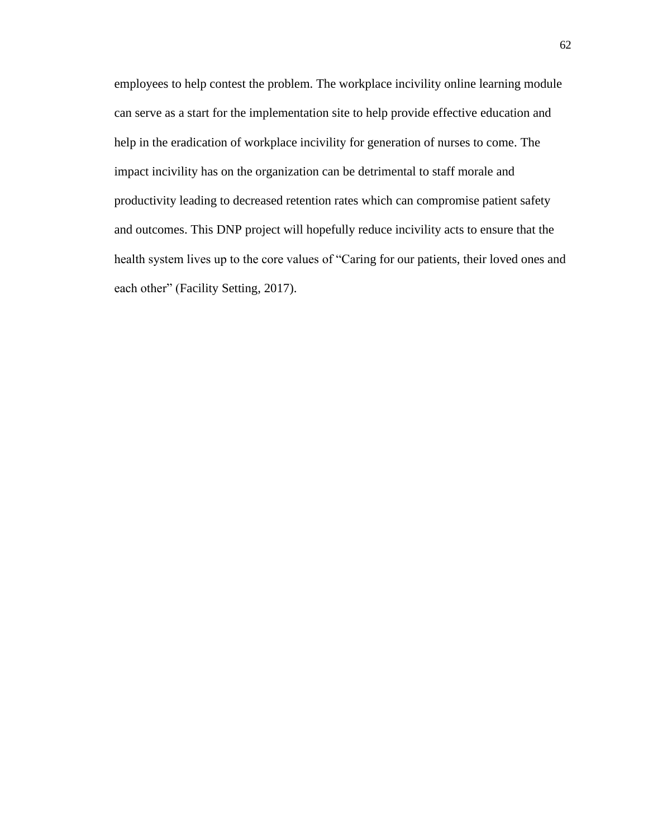employees to help contest the problem. The workplace incivility online learning module can serve as a start for the implementation site to help provide effective education and help in the eradication of workplace incivility for generation of nurses to come. The impact incivility has on the organization can be detrimental to staff morale and productivity leading to decreased retention rates which can compromise patient safety and outcomes. This DNP project will hopefully reduce incivility acts to ensure that the health system lives up to the core values of "Caring for our patients, their loved ones and each other" (Facility Setting, 2017).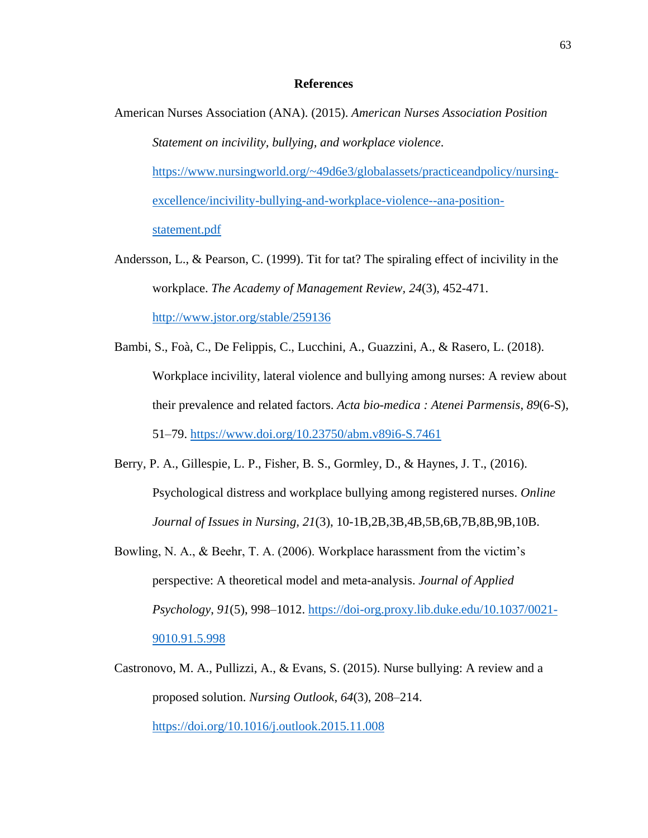#### **References**

- American Nurses Association (ANA). (2015). *American Nurses Association Position Statement on incivility, bullying, and workplace violence*. [https://www.nursingworld.org/~49d6e3/globalassets/practiceandpolicy/nursing](https://www.nursingworld.org/~49d6e3/globalassets/practiceandpolicy/nursing-excellence/incivility-bullying-and-workplace-violence--ana-position-statement.pdf)[excellence/incivility-bullying-and-workplace-violence--ana-position](https://www.nursingworld.org/~49d6e3/globalassets/practiceandpolicy/nursing-excellence/incivility-bullying-and-workplace-violence--ana-position-statement.pdf)[statement.pdf](https://www.nursingworld.org/~49d6e3/globalassets/practiceandpolicy/nursing-excellence/incivility-bullying-and-workplace-violence--ana-position-statement.pdf)
- Andersson, L., & Pearson, C. (1999). Tit for tat? The spiraling effect of incivility in the workplace. *The Academy of Management Review, 24*(3), 452-471. <http://www.jstor.org/stable/259136>
- Bambi, S., Foà, C., De Felippis, C., Lucchini, A., Guazzini, A., & Rasero, L. (2018). Workplace incivility, lateral violence and bullying among nurses: A review about their prevalence and related factors. *Acta bio-medica : Atenei Parmensis*, *89*(6-S), 51–79.<https://www.doi.org/10.23750/abm.v89i6-S.7461>
- Berry, P. A., Gillespie, L. P., Fisher, B. S., Gormley, D., & Haynes, J. T., (2016). Psychological distress and workplace bullying among registered nurses. *Online Journal of Issues in Nursing, 21*(3), 10-1B,2B,3B,4B,5B,6B,7B,8B,9B,10B.
- Bowling, N. A., & Beehr, T. A. (2006). Workplace harassment from the victim's perspective: A theoretical model and meta-analysis. *Journal of Applied Psychology*, *91*(5), 998–1012. [https://doi-org.proxy.lib.duke.edu/10.1037/0021-](https://doi-org.proxy.lib.duke.edu/10.1037/0021-9010.91.5.998) [9010.91.5.998](https://doi-org.proxy.lib.duke.edu/10.1037/0021-9010.91.5.998)
- Castronovo, M. A., Pullizzi, A., & Evans, S. (2015). Nurse bullying: A review and a proposed solution. *Nursing Outlook*, *64*(3), 208–214. <https://doi.org/10.1016/j.outlook.2015.11.008>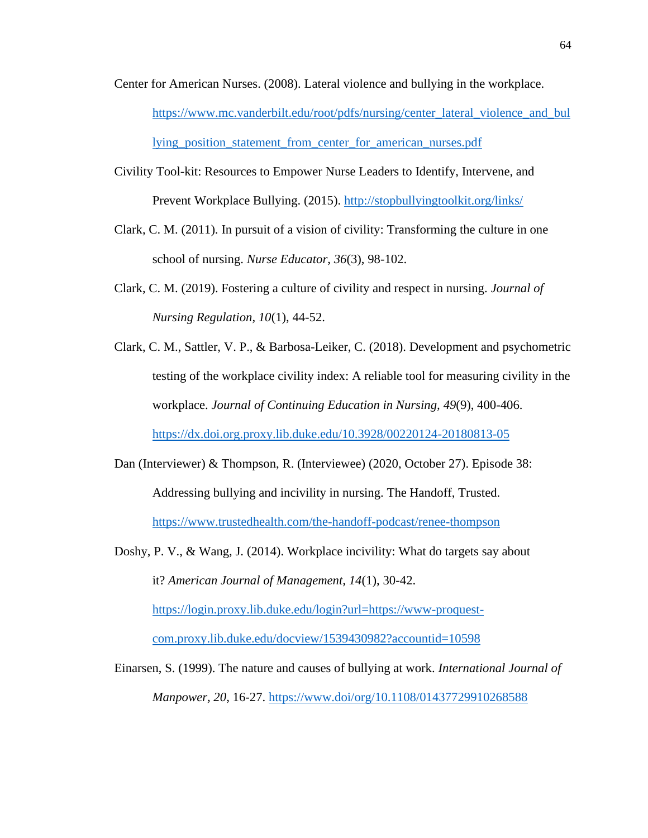- Center for American Nurses. (2008). Lateral violence and bullying in the workplace. [https://www.mc.vanderbilt.edu/root/pdfs/nursing/center\\_lateral\\_violence\\_and\\_bul](https://www.mc.vanderbilt.edu/root/pdfs/nursing/center_lateral_violence_and_bullying_position_statement_from_center_for_american_nurses.pdf) lying position statement from center for american nurses.pdf
- Civility Tool-kit: Resources to Empower Nurse Leaders to Identify, Intervene, and Prevent Workplace Bullying. (2015). <http://stopbullyingtoolkit.org/links/>
- Clark, C. M. (2011). In pursuit of a vision of civility: Transforming the culture in one school of nursing. *Nurse Educator*, *36*(3), 98-102.
- Clark, C. M. (2019). Fostering a culture of civility and respect in nursing. *Journal of Nursing Regulation, 10*(1), 44-52.
- Clark, C. M., Sattler, V. P., & Barbosa-Leiker, C. (2018). Development and psychometric testing of the workplace civility index: A reliable tool for measuring civility in the workplace. *Journal of Continuing Education in Nursing, 49*(9), 400-406.

<https://dx.doi.org.proxy.lib.duke.edu/10.3928/00220124-20180813-05>

- Dan (Interviewer) & Thompson, R. (Interviewee) (2020, October 27). Episode 38: Addressing bullying and incivility in nursing. The Handoff, Trusted. <https://www.trustedhealth.com/the-handoff-podcast/renee-thompson>
- Doshy, P. V., & Wang, J. (2014). Workplace incivility: What do targets say about it? *American Journal of Management, 14*(1), 30-42. [https://login.proxy.lib.duke.edu/login?url=https://www-proquest](https://login.proxy.lib.duke.edu/login?url=https://www-proquest-com.proxy.lib.duke.edu/docview/1539430982?accountid=10598)[com.proxy.lib.duke.edu/docview/1539430982?accountid=10598](https://login.proxy.lib.duke.edu/login?url=https://www-proquest-com.proxy.lib.duke.edu/docview/1539430982?accountid=10598)
- Einarsen, S. (1999). The nature and causes of bullying at work. *International Journal of Manpower, 20*, 16-27.<https://www.doi/org/10.1108/01437729910268588>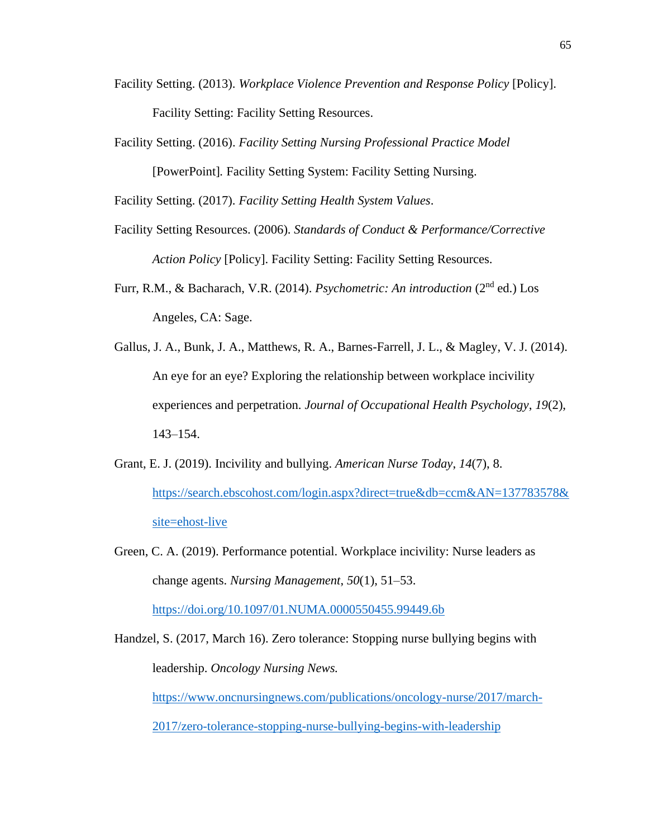- Facility Setting. (2013). *Workplace Violence Prevention and Response Policy* [Policy]. Facility Setting: Facility Setting Resources.
- Facility Setting. (2016). *Facility Setting Nursing Professional Practice Model*  [PowerPoint]*.* Facility Setting System: Facility Setting Nursing.

Facility Setting. (2017). *Facility Setting Health System Values*.

- Facility Setting Resources. (2006). *Standards of Conduct & Performance/Corrective Action Policy* [Policy]. Facility Setting: Facility Setting Resources.
- Furr, R.M., & Bacharach, V.R. (2014). *Psychometric: An introduction* (2nd ed.) Los Angeles, CA: Sage.
- Gallus, J. A., Bunk, J. A., Matthews, R. A., Barnes-Farrell, J. L., & Magley, V. J. (2014). An eye for an eye? Exploring the relationship between workplace incivility experiences and perpetration. *Journal of Occupational Health Psychology*, *19*(2), 143–154.
- Grant, E. J. (2019). Incivility and bullying. *American Nurse Today*, *14*(7), 8. [https://search.ebscohost.com/login.aspx?direct=true&db=ccm&AN=137783578&](https://search.ebscohost.com/login.aspx?direct=true&db=ccm&AN=137783578&site=ehost-live) [site=ehost-live](https://search.ebscohost.com/login.aspx?direct=true&db=ccm&AN=137783578&site=ehost-live)
- Green, C. A. (2019). Performance potential. Workplace incivility: Nurse leaders as change agents. *Nursing Management*, *50*(1), 51–53. <https://doi.org/10.1097/01.NUMA.0000550455.99449.6b>

Handzel, S. (2017, March 16). Zero tolerance: Stopping nurse bullying begins with leadership. *Oncology Nursing News.* [https://www.oncnursingnews.com/publications/oncology-nurse/2017/march-](https://www.oncnursingnews.com/publications/oncology-nurse/2017/march-2017/zero-tolerance-stopping-nurse-bullying-begins-with-leadership)[2017/zero-tolerance-stopping-nurse-bullying-begins-with-leadership](https://www.oncnursingnews.com/publications/oncology-nurse/2017/march-2017/zero-tolerance-stopping-nurse-bullying-begins-with-leadership)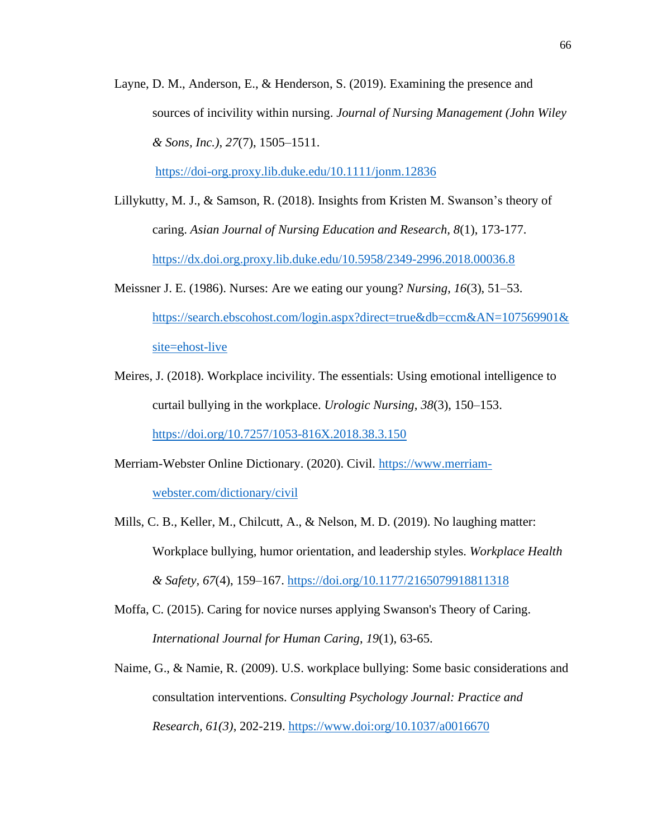Layne, D. M., Anderson, E., & Henderson, S. (2019). Examining the presence and sources of incivility within nursing. *Journal of Nursing Management (John Wiley & Sons, Inc.)*, *27*(7), 1505–1511.

<https://doi-org.proxy.lib.duke.edu/10.1111/jonm.12836>

- Lillykutty, M. J., & Samson, R. (2018). Insights from Kristen M. Swanson's theory of caring. *Asian Journal of Nursing Education and Research, 8*(1), 173-177. <https://dx.doi.org.proxy.lib.duke.edu/10.5958/2349-2996.2018.00036.8>
- Meissner J. E. (1986). Nurses: Are we eating our young? *Nursing*, *16*(3), 51–53. [https://search.ebscohost.com/login.aspx?direct=true&db=ccm&AN=107569901&](https://search.ebscohost.com/login.aspx?direct=true&db=ccm&AN=107569901&site=ehost-live) [site=ehost-live](https://search.ebscohost.com/login.aspx?direct=true&db=ccm&AN=107569901&site=ehost-live)
- Meires, J. (2018). Workplace incivility. The essentials: Using emotional intelligence to curtail bullying in the workplace. *Urologic Nursing*, *38*(3), 150–153.

<https://doi.org/10.7257/1053-816X.2018.38.3.150>

- Merriam-Webster Online Dictionary. (2020). Civil. [https://www.merriam](https://www.merriam-webster.com/dictionary/civil)[webster.com/dictionary/civil](https://www.merriam-webster.com/dictionary/civil)
- Mills, C. B., Keller, M., Chilcutt, A., & Nelson, M. D. (2019). No laughing matter: Workplace bullying, humor orientation, and leadership styles. *Workplace Health & Safety, 67*(4), 159–167.<https://doi.org/10.1177/2165079918811318>
- Moffa, C. (2015). Caring for novice nurses applying Swanson's Theory of Caring. *International Journal for Human Caring*, *19*(1), 63-65.
- Naime, G., & Namie, R. (2009). U.S. workplace bullying: Some basic considerations and consultation interventions. *Consulting Psychology Journal: Practice and Research, 61(3)*, 202-219.<https://www.doi:org/10.1037/a0016670>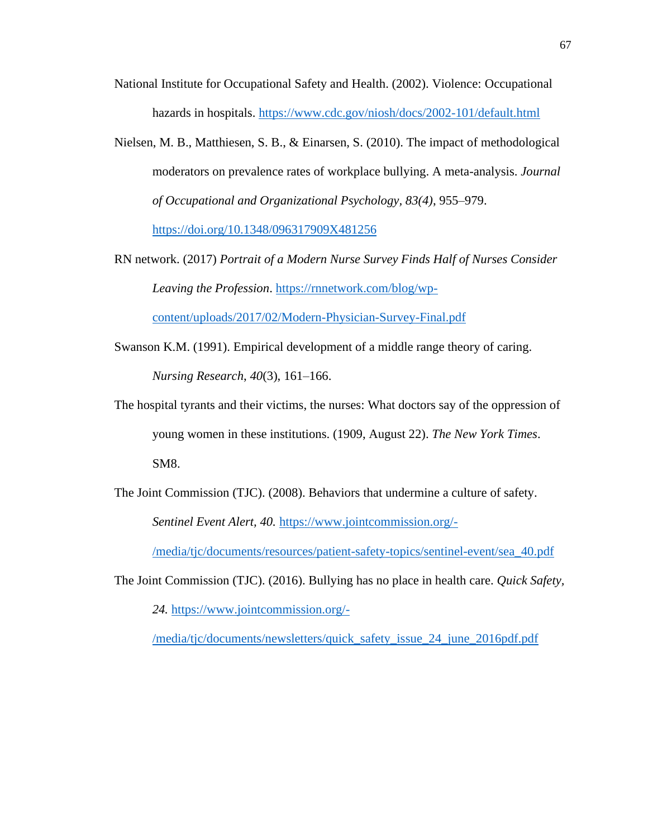- National Institute for Occupational Safety and Health. (2002). Violence: Occupational hazards in hospitals.<https://www.cdc.gov/niosh/docs/2002-101/default.html>
- Nielsen, M. B., Matthiesen, S. B., & Einarsen, S. (2010). The impact of methodological moderators on prevalence rates of workplace bullying. A meta-analysis. *Journal of Occupational and Organizational Psychology, 83(4)*, 955–979.

<https://doi.org/10.1348/096317909X481256>

- RN network. (2017) *Portrait of a Modern Nurse Survey Finds Half of Nurses Consider Leaving the Profession*. [https://rnnetwork.com/blog/wp](https://rnnetwork.com/blog/wp-content/uploads/2017/02/Modern-Physician-Survey-Final.pdf)[content/uploads/2017/02/Modern-Physician-Survey-Final.pdf](https://rnnetwork.com/blog/wp-content/uploads/2017/02/Modern-Physician-Survey-Final.pdf)
- Swanson K.M. (1991). Empirical development of a middle range theory of caring. *Nursing Research*, *40*(3), 161–166.
- The hospital tyrants and their victims, the nurses: What doctors say of the oppression of young women in these institutions. (1909, August 22). *The New York Times*. SM8.
- The Joint Commission (TJC). (2008). Behaviors that undermine a culture of safety. *Sentinel Event Alert, 40.* [https://www.jointcommission.org/-](https://www.jointcommission.org/-/media/tjc/documents/resources/patient-safety-topics/sentinel-event/sea_40.pdf)

[/media/tjc/documents/resources/patient-safety-topics/sentinel-event/sea\\_40.pdf](https://www.jointcommission.org/-/media/tjc/documents/resources/patient-safety-topics/sentinel-event/sea_40.pdf)

The Joint Commission (TJC). (2016). Bullying has no place in health care. *Quick Safety, 24.* [https://www.jointcommission.org/-](https://www.jointcommission.org/-/media/tjc/documents/newsletters/quick_safety_issue_24_june_2016pdf.pdf)

[/media/tjc/documents/newsletters/quick\\_safety\\_issue\\_24\\_june\\_2016pdf.pdf](https://www.jointcommission.org/-/media/tjc/documents/newsletters/quick_safety_issue_24_june_2016pdf.pdf)